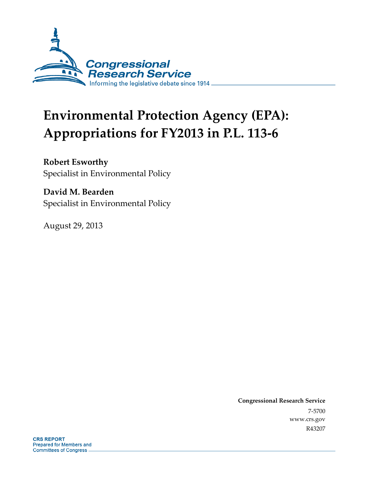

# **Environmental Protection Agency (EPA): Appropriations for FY2013 in P.L. 113-6**

## **Robert Esworthy**

Specialist in Environmental Policy

## **David M. Bearden**

Specialist in Environmental Policy

August 29, 2013

**Congressional Research Service**  7-5700 www.crs.gov R43207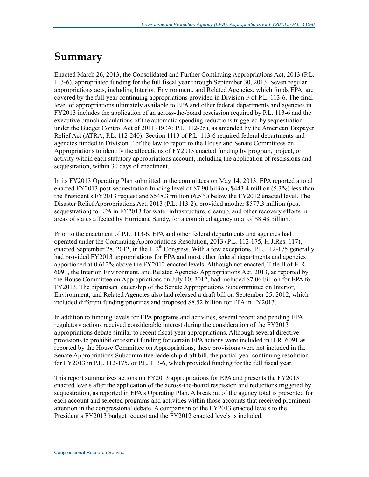## **Summary**

Enacted March 26, 2013, the Consolidated and Further Continuing Appropriations Act, 2013 (P.L. 113-6), appropriated funding for the full fiscal year through September 30, 2013. Seven regular appropriations acts, including Interior, Environment, and Related Agencies, which funds EPA, are covered by the full-year continuing appropriations provided in Division F of P.L. 113-6. The final level of appropriations ultimately available to EPA and other federal departments and agencies in FY2013 includes the application of an across-the-board rescission required by P.L. 113-6 and the executive branch calculations of the automatic spending reductions triggered by sequestration under the Budget Control Act of 2011 (BCA; P.L. 112-25), as amended by the American Taxpayer Relief Act (ATRA; P.L. 112-240). Section 1113 of P.L. 113-6 required federal departments and agencies funded in Division F of the law to report to the House and Senate Committees on Appropriations to identify the allocations of FY2013 enacted funding by program, project, or activity within each statutory appropriations account, including the application of rescissions and sequestration, within 30 days of enactment.

In its FY2013 Operating Plan submitted to the committees on May 14, 2013, EPA reported a total enacted FY2013 post-sequestration funding level of \$7.90 billion, \$443.4 million (5.3%) less than the President's FY2013 request and \$548.3 million (6.5%) below the FY2012 enacted level. The Disaster Relief Appropriations Act, 2013 (P.L. 113-2), provided another \$577.3 million (postsequestration) to EPA in FY2013 for water infrastructure, cleanup, and other recovery efforts in areas of states affected by Hurricane Sandy, for a combined agency total of \$8.48 billion.

Prior to the enactment of P.L. 113-6, EPA and other federal departments and agencies had operated under the Continuing Appropriations Resolution, 2013 (P.L. 112-175, H.J.Res. 117), enacted September 28, 2012, in the  $112^{th}$  Congress. With a few exceptions, P.L. 112-175 generally had provided FY2013 appropriations for EPA and most other federal departments and agencies apportioned at 0.612% above the FY2012 enacted levels. Although not enacted, Title II of H.R. 6091, the Interior, Environment, and Related Agencies Appropriations Act, 2013, as reported by the House Committee on Appropriations on July 10, 2012, had included \$7.06 billion for EPA for FY2013. The bipartisan leadership of the Senate Appropriations Subcommittee on Interior, Environment, and Related Agencies also had released a draft bill on September 25, 2012, which included different funding priorities and proposed \$8.52 billion for EPA in FY2013.

In addition to funding levels for EPA programs and activities, several recent and pending EPA regulatory actions received considerable interest during the consideration of the FY2013 appropriations debate similar to recent fiscal-year appropriations. Although several directive provisions to prohibit or restrict funding for certain EPA actions were included in H.R. 6091 as reported by the House Committee on Appropriations, these provisions were not included in the Senate Appropriations Subcommittee leadership draft bill, the partial-year continuing resolution for FY2013 in P.L. 112-175, or P.L. 113-6, which provided funding for the full fiscal year.

This report summarizes actions on FY2013 appropriations for EPA and presents the FY2013 enacted levels after the application of the across-the-board rescission and reductions triggered by sequestration, as reported in EPA's Operating Plan. A breakout of the agency total is presented for each account and selected programs and activities within those accounts that received prominent attention in the congressional debate. A comparison of the FY2013 enacted levels to the President's FY2013 budget request and the FY2012 enacted levels is included.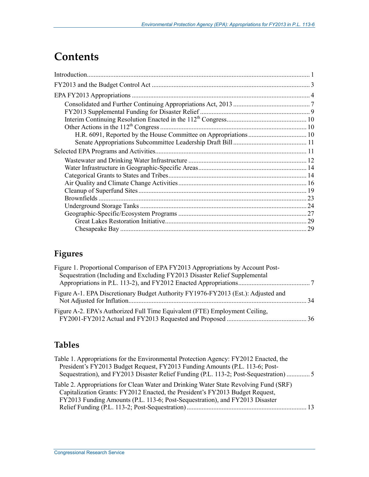## **Contents**

## **Figures**

| Figure 1. Proportional Comparison of EPA FY2013 Appropriations by Account Post-<br>Sequestration (Including and Excluding FY2013 Disaster Relief Supplemental |  |
|---------------------------------------------------------------------------------------------------------------------------------------------------------------|--|
| Figure A-1. EPA Discretionary Budget Authority FY1976-FY2013 (Est.): Adjusted and                                                                             |  |
| Figure A-2. EPA's Authorized Full Time Equivalent (FTE) Employment Ceiling,                                                                                   |  |

## **Tables**

| Table 1. Appropriations for the Environmental Protection Agency: FY2012 Enacted, the   |  |
|----------------------------------------------------------------------------------------|--|
| President's FY2013 Budget Request, FY2013 Funding Amounts (P.L. 113-6; Post-           |  |
| Sequestration), and FY2013 Disaster Relief Funding (P.L. 113-2; Post-Sequestration)  5 |  |
| Table 2. Appropriations for Clean Water and Drinking Water State Revolving Fund (SRF)  |  |
| Capitalization Grants: FY2012 Enacted, the President's FY2013 Budget Request,          |  |
| FY2013 Funding Amounts (P.L. 113-6; Post-Sequestration), and FY2013 Disaster           |  |
|                                                                                        |  |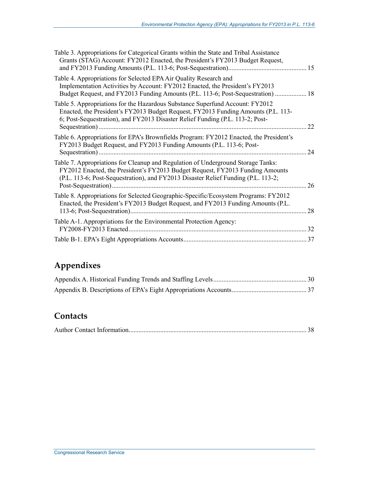| Table 3. Appropriations for Categorical Grants within the State and Tribal Assistance<br>Grants (STAG) Account: FY2012 Enacted, the President's FY2013 Budget Request,                                                                                 |    |
|--------------------------------------------------------------------------------------------------------------------------------------------------------------------------------------------------------------------------------------------------------|----|
| Table 4. Appropriations for Selected EPA Air Quality Research and<br>Implementation Activities by Account: FY2012 Enacted, the President's FY2013<br>Budget Request, and FY2013 Funding Amounts (P.L. 113-6; Post-Sequestration)  18                   |    |
| Table 5. Appropriations for the Hazardous Substance Superfund Account: FY2012<br>Enacted, the President's FY2013 Budget Request, FY2013 Funding Amounts (P.L. 113-<br>6; Post-Sequestration), and FY2013 Disaster Relief Funding (P.L. 113-2; Post-    | 22 |
| Table 6. Appropriations for EPA's Brownfields Program: FY2012 Enacted, the President's<br>FY2013 Budget Request, and FY2013 Funding Amounts (P.L. 113-6; Post-                                                                                         | 24 |
| Table 7. Appropriations for Cleanup and Regulation of Underground Storage Tanks:<br>FY2012 Enacted, the President's FY2013 Budget Request, FY2013 Funding Amounts<br>(P.L. 113-6; Post-Sequestration), and FY2013 Disaster Relief Funding (P.L. 113-2; | 26 |
| Table 8. Appropriations for Selected Geographic-Specific/Ecosystem Programs: FY2012<br>Enacted, the President's FY2013 Budget Request, and FY2013 Funding Amounts (P.L.                                                                                | 28 |
| Table A-1. Appropriations for the Environmental Protection Agency:<br>FY2008-FY2013 Enacted.                                                                                                                                                           | 32 |
|                                                                                                                                                                                                                                                        |    |

## **Appendixes**

### **Contacts**

|--|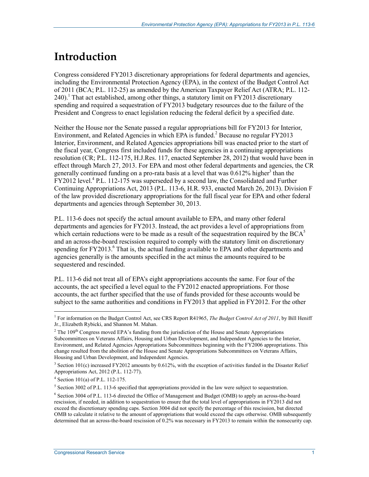## **Introduction**

Congress considered FY2013 discretionary appropriations for federal departments and agencies, including the Environmental Protection Agency (EPA), in the context of the Budget Control Act of 2011 (BCA; P.L. 112-25) as amended by the American Taxpayer Relief Act (ATRA; P.L. 112- 240).<sup>1</sup> That act established, among other things, a statutory limit on FY2013 discretionary spending and required a sequestration of FY2013 budgetary resources due to the failure of the President and Congress to enact legislation reducing the federal deficit by a specified date.

Neither the House nor the Senate passed a regular appropriations bill for FY2013 for Interior, Environment, and Related Agencies in which EPA is funded.<sup>2</sup> Because no regular FY2013 Interior, Environment, and Related Agencies appropriations bill was enacted prior to the start of the fiscal year, Congress first included funds for these agencies in a continuing appropriations resolution (CR; P.L. 112-175, H.J.Res. 117, enacted September 28, 2012) that would have been in effect through March 27, 2013. For EPA and most other federal departments and agencies, the CR generally continued funding on a pro-rata basis at a level that was  $0.612\%$  higher<sup>3</sup> than the FY2012 level.<sup>4</sup> P.L. 112-175 was superseded by a second law, the Consolidated and Further Continuing Appropriations Act, 2013 (P.L. 113-6, H.R. 933, enacted March 26, 2013). Division F of the law provided discretionary appropriations for the full fiscal year for EPA and other federal departments and agencies through September 30, 2013.

P.L. 113-6 does not specify the actual amount available to EPA, and many other federal departments and agencies for FY2013. Instead, the act provides a level of appropriations from which certain reductions were to be made as a result of the sequestration required by the  $BCA<sup>5</sup>$ and an across-the-board rescission required to comply with the statutory limit on discretionary spending for FY2013.<sup>6</sup> That is, the actual funding available to EPA and other departments and agencies generally is the amounts specified in the act minus the amounts required to be sequestered and rescinded.

P.L. 113-6 did not treat all of EPA's eight appropriations accounts the same. For four of the accounts, the act specified a level equal to the FY2012 enacted appropriations. For those accounts, the act further specified that the use of funds provided for these accounts would be subject to the same authorities and conditions in FY2013 that applied in FY2012. For the other

<sup>&</sup>lt;sup>1</sup> For information on the Budget Control Act, see CRS Report R41965, *The Budget Control Act of 2011*, by Bill Heniff Jr., Elizabeth Rybicki, and Shannon M. Mahan.

<sup>&</sup>lt;sup>2</sup> The 109<sup>th</sup> Congress moved EPA's funding from the jurisdiction of the House and Senate Appropriations Subcommittees on Veterans Affairs, Housing and Urban Development, and Independent Agencies to the Interior, Environment, and Related Agencies Appropriations Subcommittees beginning with the FY2006 appropriations. This change resulted from the abolition of the House and Senate Appropriations Subcommittees on Veterans Affairs, Housing and Urban Development, and Independent Agencies.

<sup>&</sup>lt;sup>3</sup> Section 101(c) increased FY2012 amounts by 0.612%, with the exception of activities funded in the Disaster Relief Appropriations Act, 2012 (P.L. 112-77).

<sup>4</sup> Section 101(a) of P.L. 112-175.

<sup>&</sup>lt;sup>5</sup> Section 3002 of P.L. 113-6 specified that appropriations provided in the law were subject to sequestration.

<sup>&</sup>lt;sup>6</sup> Section 3004 of P.L. 113-6 directed the Office of Management and Budget (OMB) to apply an across-the-board rescission, if needed, in addition to sequestration to ensure that the total level of appropriations in FY2013 did not exceed the discretionary spending caps. Section 3004 did not specify the percentage of this rescission, but directed OMB to calculate it relative to the amount of appropriations that would exceed the caps otherwise. OMB subsequently determined that an across-the-board rescission of 0.2% was necessary in FY2013 to remain within the nonsecurity cap.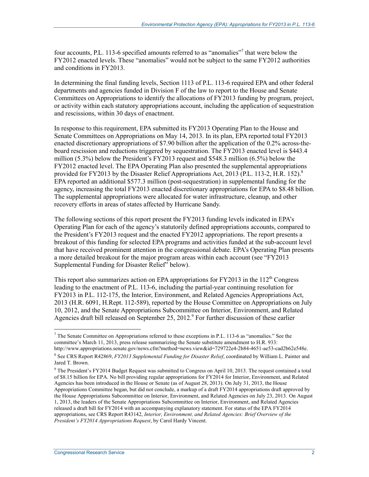four accounts, P.L. 113-6 specified amounts referred to as "anomalies"<sup>7</sup> that were below the FY2012 enacted levels. These "anomalies" would not be subject to the same FY2012 authorities and conditions in FY2013.

In determining the final funding levels, Section 1113 of P.L. 113-6 required EPA and other federal departments and agencies funded in Division F of the law to report to the House and Senate Committees on Appropriations to identify the allocations of FY2013 funding by program, project, or activity within each statutory appropriations account, including the application of sequestration and rescissions, within 30 days of enactment.

In response to this requirement, EPA submitted its FY2013 Operating Plan to the House and Senate Committees on Appropriations on May 14, 2013. In its plan, EPA reported total FY2013 enacted discretionary appropriations of \$7.90 billion after the application of the 0.2% across-theboard rescission and reductions triggered by sequestration. The FY2013 enacted level is \$443.4 million (5.3%) below the President's FY2013 request and \$548.3 million (6.5%) below the FY2012 enacted level. The EPA Operating Plan also presented the supplemental appropriations provided for FY2013 by the Disaster Relief Appropriations Act, 2013 (P.L. 113-2, H.R. 152).<sup>8</sup> EPA reported an additional \$577.3 million (post-sequestration) in supplemental funding for the agency, increasing the total FY2013 enacted discretionary appropriations for EPA to \$8.48 billion. The supplemental appropriations were allocated for water infrastructure, cleanup, and other recovery efforts in areas of states affected by Hurricane Sandy.

The following sections of this report present the FY2013 funding levels indicated in EPA's Operating Plan for each of the agency's statutorily defined appropriations accounts, compared to the President's FY2013 request and the enacted FY2012 appropriations. The report presents a breakout of this funding for selected EPA programs and activities funded at the sub-account level that have received prominent attention in the congressional debate. EPA's Operating Plan presents a more detailed breakout for the major program areas within each account (see "FY2013 Supplemental Funding for Disaster Relief" below).

This report also summarizes action on EPA appropriations for  $FY2013$  in the  $112<sup>th</sup>$  Congress leading to the enactment of P.L. 113-6, including the partial-year continuing resolution for FY2013 in P.L. 112-175, the Interior, Environment, and Related Agencies Appropriations Act, 2013 (H.R. 6091, H.Rept. 112-589), reported by the House Committee on Appropriations on July 10, 2012, and the Senate Appropriations Subcommittee on Interior, Environment, and Related Agencies draft bill released on September 25, 2012.<sup>9</sup> For further discussion of these earlier

<sup>9</sup> The President's FY2014 Budget Request was submitted to Congress on April 10, 2013. The request contained a total of \$8.15 billion for EPA. No bill providing regular appropriations for FY2014 for Interior, Environment, and Related Agencies has been introduced in the House or Senate (as of August 28, 2013). On July 31, 2013, the House

 $<sup>7</sup>$  The Senate Committee on Appropriations referred to these exceptions in P.L. 113-6 as "anomalies." See the</sup> committee's March 11, 2013, press release summarizing the Senate substitute amendment to H.R. 933: http://www.appropriations.senate.gov/news.cfm?method=news.view&id=729722e4-2b84-4651-ae53-cad2b62e548e.

<sup>8</sup> See CRS Report R42869, *FY2013 Supplemental Funding for Disaster Relief*, coordinated by William L. Painter and Jared T. Brown.

Appropriations Committee began, but did not conclude, a markup of a draft FY2014 appropriations draft approved by the House Appropriations Subcommittee on Interior, Environment, and Related Agencies on July 23, 2013. On August 1, 2013, the leaders of the Senate Appropriations Subcommittee on Interior, Environment, and Related Agencies released a draft bill for FY2014 with an accompanying explanatory statement. For status of the EPA FY2014 appropriations, see CRS Report R43142, *Interior, Environment, and Related Agencies: Brief Overview of the President's FY2014 Appropriations Request*, by Carol Hardy Vincent.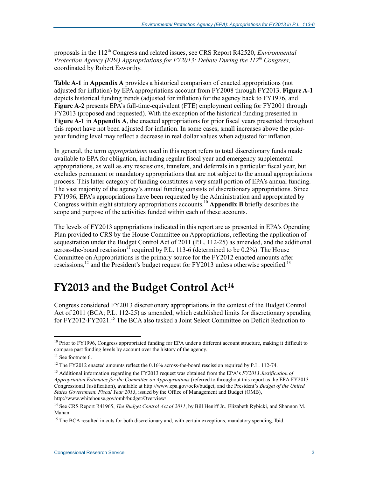proposals in the 112<sup>th</sup> Congress and related issues, see CRS Report R42520, *Environmental Protection Agency (EPA) Appropriations for FY2013: Debate During the 112th Congress*, coordinated by Robert Esworthy.

**Table A-1** in **Appendix A** provides a historical comparison of enacted appropriations (not adjusted for inflation) by EPA appropriations account from FY2008 through FY2013. **Figure A-1** depicts historical funding trends (adjusted for inflation) for the agency back to FY1976, and **Figure A-2** presents EPA's full-time-equivalent (FTE) employment ceiling for FY2001 through FY2013 (proposed and requested). With the exception of the historical funding presented in **Figure A-1** in **Appendix A**, the enacted appropriations for prior fiscal years presented throughout this report have not been adjusted for inflation. In some cases, small increases above the prioryear funding level may reflect a decrease in real dollar values when adjusted for inflation.

In general, the term *appropriations* used in this report refers to total discretionary funds made available to EPA for obligation, including regular fiscal year and emergency supplemental appropriations, as well as any rescissions, transfers, and deferrals in a particular fiscal year, but excludes permanent or mandatory appropriations that are not subject to the annual appropriations process. This latter category of funding constitutes a very small portion of EPA's annual funding. The vast majority of the agency's annual funding consists of discretionary appropriations. Since FY1996, EPA's appropriations have been requested by the Administration and appropriated by Congress within eight statutory appropriations accounts.10 **Appendix B** briefly describes the scope and purpose of the activities funded within each of these accounts.

The levels of FY2013 appropriations indicated in this report are as presented in EPA's Operating Plan provided to CRS by the House Committee on Appropriations, reflecting the application of sequestration under the Budget Control Act of 2011 (P.L. 112-25) as amended, and the additional across-the-board rescission<sup>11</sup> required by P.L. 113-6 (determined to be 0.2%). The House Committee on Appropriations is the primary source for the FY2012 enacted amounts after rescissions,<sup>12</sup> and the President's budget request for FY2013 unless otherwise specified.<sup>13</sup>

## **FY2013 and the Budget Control Act14**

Congress considered FY2013 discretionary appropriations in the context of the Budget Control Act of 2011 (BCA; P.L. 112-25) as amended, which established limits for discretionary spending for FY2012-FY2021.<sup>15</sup> The BCA also tasked a Joint Select Committee on Deficit Reduction to

 $10$  Prior to FY1996, Congress appropriated funding for EPA under a different account structure, making it difficult to compare past funding levels by account over the history of the agency.

<sup>&</sup>lt;sup>11</sup> See footnote 6.

 $12$  The FY2012 enacted amounts reflect the 0.16% across-the-board rescission required by P.L. 112-74.

<sup>13</sup> Additional information regarding the FY2013 request was obtained from the EPA's *FY2013 Justification of Appropriation Estimates for the Committee on Appropriations* (referred to throughout this report as the EPA FY2013 Congressional Justification), available at http://www.epa.gov/ocfo/budget, and the President's *Budget of the United States Government, Fiscal Year 2013*, issued by the Office of Management and Budget (OMB), http://www.whitehouse.gov/omb/budget/Overview/.

<sup>14</sup> See CRS Report R41965, *The Budget Control Act of 2011*, by Bill Heniff Jr., Elizabeth Rybicki, and Shannon M. Mahan.

<sup>&</sup>lt;sup>15</sup> The BCA resulted in cuts for both discretionary and, with certain exceptions, mandatory spending. Ibid.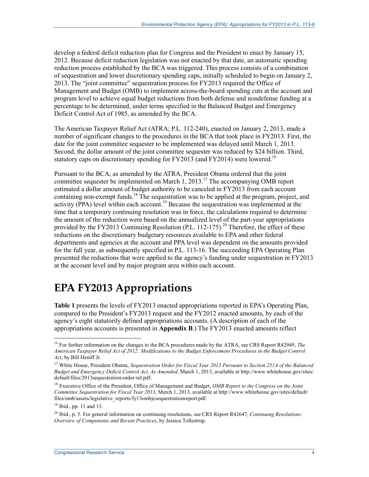develop a federal deficit reduction plan for Congress and the President to enact by January 15, 2012. Because deficit reduction legislation was not enacted by that date, an automatic spending reduction process established by the BCA was triggered. This process consists of a combination of sequestration and lower discretionary spending caps, initially scheduled to begin on January 2, 2013. The "joint committee" sequestration process for FY2013 required the Office of Management and Budget (OMB) to implement across-the-board spending cuts at the account and program level to achieve equal budget reductions from both defense and nondefense funding at a percentage to be determined, under terms specified in the Balanced Budget and Emergency Deficit Control Act of 1985, as amended by the BCA.

The American Taxpayer Relief Act (ATRA; P.L. 112-240), enacted on January 2, 2013, made a number of significant changes to the procedures in the BCA that took place in FY2013. First, the date for the joint committee sequester to be implemented was delayed until March 1, 2013. Second, the dollar amount of the joint committee sequester was reduced by \$24 billion. Third, statutory caps on discretionary spending for  $FY2013$  (and  $FY2014$ ) were lowered.<sup>16</sup>

Pursuant to the BCA, as amended by the ATRA, President Obama ordered that the joint committee sequester be implemented on March 1, 2013.<sup>17</sup> The accompanying OMB report estimated a dollar amount of budget authority to be canceled in FY2013 from each account containing non-exempt funds.<sup>18</sup> The sequestration was to be applied at the program, project, and activity (PPA) level within each account.<sup>19</sup> Because the sequestration was implemented at the time that a temporary continuing resolution was in force, the calculations required to determine the amount of the reduction were based on the annualized level of the part-year appropriations provided by the FY2013 Continuing Resolution (P.L. 112-175).<sup>20</sup> Therefore, the effect of these reductions on the discretionary budgetary resources available to EPA and other federal departments and agencies at the account and PPA level was dependent on the amounts provided for the full year, as subsequently specified in P.L. 113-16. The succeeding EPA Operating Plan presented the reductions that were applied to the agency's funding under sequestration in FY2013 at the account level and by major program area within each account.

## **EPA FY2013 Appropriations**

**Table 1** presents the levels of FY2013 enacted appropriations reported in EPA's Operating Plan, compared to the President's FY2013 request and the FY2012 enacted amounts, by each of the agency's eight statutorily defined appropriations accounts. (A description of each of the appropriations accounts is presented in **Appendix B**.) The FY2013 enacted amounts reflect

<sup>16</sup> For further information on the changes to the BCA procedures made by the ATRA, see CRS Report R42949, *The American Taxpayer Relief Act of 2012: Modifications to the Budget Enforcement Procedures in the Budget Control Act*, by Bill Heniff Jr.

<sup>&</sup>lt;sup>17</sup> White House, President Obama, *Sequestration Order for Fiscal Year 2013 Pursuant to Section 251A of the Balanced Budget and Emergency Deficit Control Act, As Amended*, March 1, 2013, available at http://www.whitehouse.gov/sites/ default/files/2013sequestration-order-rel.pdf.

<sup>18</sup> Executive Office of the President, Office of Management and Budget, *OMB Report to the Congress on the Joint Committee Sequestration for Fiscal Year 2013*, March 1, 2013, available at http://www.whitehouse.gov/sites/default/ files/omb/assets/legislative\_reports/fy13ombjcsequestrationreport.pdf.

<sup>19</sup> Ibid., pp. 11 and 13.

<sup>20</sup> Ibid., p. 5. For general information on continuing resolutions, see CRS Report R42647, *Continuing Resolutions: Overview of Components and Recent Practices*, by Jessica Tollestrup.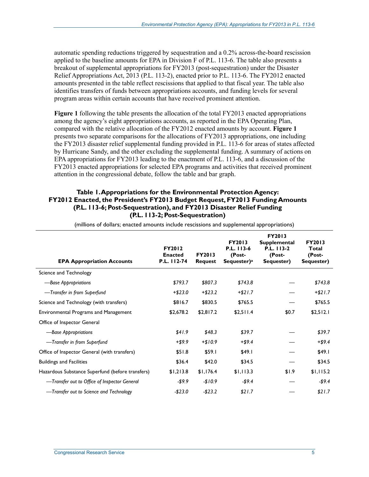automatic spending reductions triggered by sequestration and a 0.2% across-the-board rescission applied to the baseline amounts for EPA in Division F of P.L. 113-6. The table also presents a breakout of supplemental appropriations for FY2013 (post-sequestration) under the Disaster Relief Appropriations Act, 2013 (P.L. 113-2), enacted prior to P.L. 113-6. The FY2012 enacted amounts presented in the table reflect rescissions that applied to that fiscal year. The table also identifies transfers of funds between appropriations accounts, and funding levels for several program areas within certain accounts that have received prominent attention.

**Figure 1** following the table presents the allocation of the total FY2013 enacted appropriations among the agency's eight appropriations accounts, as reported in the EPA Operating Plan, compared with the relative allocation of the FY2012 enacted amounts by account. **Figure 1** presents two separate comparisons for the allocations of FY2013 appropriations, one including the FY2013 disaster relief supplemental funding provided in P.L. 113-6 for areas of states affected by Hurricane Sandy, and the other excluding the supplemental funding. A summary of actions on EPA appropriations for FY2013 leading to the enactment of P.L. 113-6, and a discussion of the FY2013 enacted appropriations for selected EPA programs and activities that received prominent attention in the congressional debate, follow the table and bar graph.

#### **Table 1. Appropriations for the Environmental Protection Agency: FY2012 Enacted, the President's FY2013 Budget Request, FY2013 Funding Amounts (P.L. 113-6; Post-Sequestration), and FY2013 Disaster Relief Funding (P.L. 113-2; Post-Sequestration)**

| <b>EPA Appropriation Accounts</b>                | <b>FY2012</b><br><b>Enacted</b><br>P.L. 112-74 | <b>FY2013</b><br><b>Request</b> | <b>FY2013</b><br>P.L. 113-6<br>(Post-<br>Sequester) <sup>a</sup> | FY2013<br><b>Supplemental</b><br>P.L. 113-2<br>(Post-<br>Sequester) | FY2013<br>Total<br>(Post-<br>Sequester) |
|--------------------------------------------------|------------------------------------------------|---------------------------------|------------------------------------------------------------------|---------------------------------------------------------------------|-----------------------------------------|
| Science and Technology                           |                                                |                                 |                                                                  |                                                                     |                                         |
| -Base Appropriations                             | \$793.7                                        | \$807.3                         | \$743.8                                                          |                                                                     | \$743.8                                 |
| -Transfer in from Superfund                      | $+ $23.0$                                      | $+ $23.2$                       | $+ $21.7$                                                        |                                                                     | $+ $21.7$                               |
| Science and Technology (with transfers)          | \$816.7                                        | \$830.5                         | \$765.5                                                          |                                                                     | \$765.5                                 |
| Environmental Programs and Management            | \$2,678.2                                      | \$2,817.2                       | \$2,511.4                                                        | \$0.7                                                               | \$2,512.1                               |
| Office of Inspector General                      |                                                |                                 |                                                                  |                                                                     |                                         |
| -Base Appropriations                             | \$41.9                                         | \$48.3                          | \$39.7                                                           |                                                                     | \$39.7                                  |
| -Transfer in from Superfund                      | $+ $9.9$                                       | $+ $10.9$                       | $+ $9.4$                                                         |                                                                     | +\$9.4                                  |
| Office of Inspector General (with transfers)     | \$51.8                                         | \$59.1                          | \$49.1                                                           |                                                                     | \$49.1                                  |
| <b>Buildings and Facilities</b>                  | \$36.4                                         | \$42.0                          | \$34.5                                                           |                                                                     | \$34.5                                  |
| Hazardous Substance Superfund (before transfers) | \$1,213.8                                      | \$1,176.4                       | \$1,113.3                                                        | \$1.9                                                               | \$1,115.2                               |
| — Transfer out to Office of Inspector General    | $-59.9$                                        | $-$10.9$                        | $-$ \$9.4                                                        |                                                                     | -\$9.4                                  |
| -Transfer out to Science and Technology          | $-$23.0$                                       | $-$23.2$                        | \$21.7                                                           |                                                                     | \$21.7                                  |

(millions of dollars; enacted amounts include rescissions and supplemental appropriations)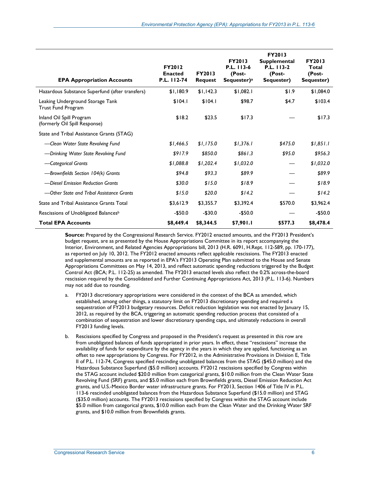| <b>EPA Appropriation Accounts</b>                             | <b>FY2012</b><br><b>Enacted</b><br>P.L. 112-74 | <b>FY2013</b><br><b>Request</b> | <b>FY2013</b><br>P.L. 113-6<br>(Post-<br>Sequester) $a$ | <b>FY2013</b><br><b>Supplemental</b><br>P.L. 113-2<br>(Post-<br>Sequester) | <b>FY2013</b><br>Total<br>(Post-<br>Sequester) |
|---------------------------------------------------------------|------------------------------------------------|---------------------------------|---------------------------------------------------------|----------------------------------------------------------------------------|------------------------------------------------|
| Hazardous Substance Superfund (after transfers)               | \$1,180.9                                      | \$1,142.3                       | \$1,082.1                                               | \$1.9                                                                      | \$1,084.0                                      |
| Leaking Underground Storage Tank<br><b>Trust Fund Program</b> | \$104.1                                        | \$104.1                         | \$98.7                                                  | \$4.7                                                                      | \$103.4                                        |
| Inland Oil Spill Program<br>(formerly Oil Spill Response)     | \$18.2                                         | \$23.5                          | \$17.3                                                  |                                                                            | \$17.3                                         |
| State and Tribal Assistance Grants (STAG)                     |                                                |                                 |                                                         |                                                                            |                                                |
| -Clean Water State Revolving Fund                             | \$1,466.5                                      | \$1,175.0                       | \$1,376.1                                               | \$475.0                                                                    | \$1,851.1                                      |
| -Drinking Water State Revolving Fund                          | \$917.9                                        | \$850.0                         | \$861.3                                                 | \$95.0                                                                     | \$956.3                                        |
| -Categorical Grants                                           | \$1,088.8                                      | \$1,202.4                       | \$1,032.0                                               |                                                                            | \$1,032.0                                      |
| -Brownfields Section 104(k) Grants                            | \$94.8                                         | \$93.3                          | \$89.9                                                  |                                                                            | \$89.9                                         |
| -Diesel Emission Reduction Grants                             | \$30.0                                         | \$15.0                          | \$18.9                                                  |                                                                            | \$18.9                                         |
| -Other State and Tribal Assistance Grants                     | \$15.0                                         | \$20.0                          | \$14.2                                                  |                                                                            | \$14.2                                         |
| State and Tribal Assistance Grants Total                      | \$3,612.9                                      | \$3,355.7                       | \$3,392.4                                               | \$570.0                                                                    | \$3,962.4                                      |
| Rescissions of Unobligated Balances <sup>b</sup>              | $-$50.0$                                       | $-$30.0$                        | $-$50.0$                                                |                                                                            | $-$50.0$                                       |
| <b>Total EPA Accounts</b>                                     | \$8,449.4                                      | \$8,344.5                       | \$7,901.1                                               | \$577.3                                                                    | \$8,478.4                                      |

**Source:** Prepared by the Congressional Research Service. FY2012 enacted amounts, and the FY2013 President's budget request, are as presented by the House Appropriations Committee in its report accompanying the Interior, Environment, and Related Agencies Appropriations bill, 2013 (H.R. 6091, H.Rept. 112-589, pp. 170-177), as reported on July 10, 2012. The FY2012 enacted amounts reflect applicable rescissions. The FY2013 enacted and supplemental amounts are as reported in EPA's FY2013 Operating Plan submitted to the House and Senate Appropriations Committees on May 14, 2013, and reflect automatic spending reductions triggered by the Budget Control Act (BCA; P.L. 112-25) as amended. The FY2013 enacted levels also reflect the 0.2% across-the-board rescission required by the Consolidated and Further Continuing Appropriations Act, 2013 (P.L. 113-6). Numbers may not add due to rounding.

- a. FY2013 discretionary appropriations were considered in the context of the BCA as amended, which established, among other things, a statutory limit on FY2013 discretionary spending and required a sequestration of FY2013 budgetary resources. Deficit reduction legislation was not enacted by January 15, 2012, as required by the BCA, triggering an automatic spending reduction process that consisted of a combination of sequestration and lower discretionary spending caps, and ultimately reductions in overall FY2013 funding levels.
- b. Rescissions specified by Congress and proposed in the President's request as presented in this row are from unobligated balances of funds appropriated in prior years. In effect, these "rescissions" increase the availability of funds for expenditure by the agency in the years in which they are applied, functioning as an offset to new appropriations by Congress. For FY2012, in the Administrative Provisions in Division E, Title II of P.L. 112-74, Congress specified rescinding unobligated balances from the STAG (\$45.0 million) and the Hazardous Substance Superfund (\$5.0 million) accounts. FY2012 rescissions specified by Congress within the STAG account included \$20.0 million from categorical grants, \$10.0 million from the Clean Water State Revolving Fund (SRF) grants, and \$5.0 million each from Brownfields grants, Diesel Emission Reduction Act grants, and U.S.-Mexico Border water infrastructure grants. For FY2013, Section 1406 of Title IV in P.L. 113-6 rescinded unobligated balances from the Hazardous Substance Superfund (\$15.0 million) and STAG (\$35.0 million) accounts. The FY2013 rescissions specified by Congress within the STAG account include \$5.0 million from categorical grants, \$10.0 million each from the Clean Water and the Drinking Water SRF grants, and \$10.0 million from Brownfields grants.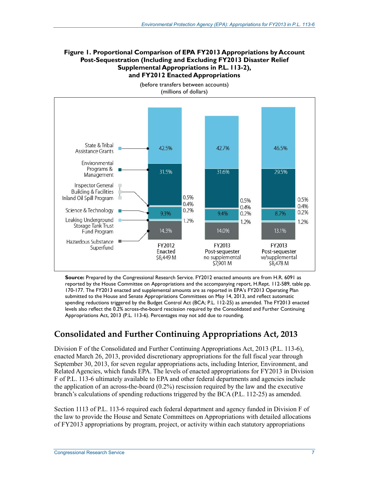#### **Figure 1. Proportional Comparison of EPA FY2013 Appropriations by Account Post-Sequestration (Including and Excluding FY2013 Disaster Relief Supplemental Appropriations in P.L. 113-2), and FY2012 Enacted Appropriations**



**Source:** Prepared by the Congressional Research Service. FY2012 enacted amounts are from H.R. 6091 as reported by the House Committee on Appropriations and the accompanying report, H.Rept. 112-589, table pp. 170-177. The FY2013 enacted and supplemental amounts are as reported in EPA's FY2013 Operating Plan submitted to the House and Senate Appropriations Committees on May 14, 2013, and reflect automatic spending reductions triggered by the Budget Control Act (BCA; P.L. 112-25) as amended. The FY2013 enacted levels also reflect the 0.2% across-the-board rescission required by the Consolidated and Further Continuing Appropriations Act, 2013 (P.L. 113-6). Percentages may not add due to rounding.

### **Consolidated and Further Continuing Appropriations Act, 2013**

Division F of the Consolidated and Further Continuing Appropriations Act, 2013 (P.L. 113-6), enacted March 26, 2013, provided discretionary appropriations for the full fiscal year through September 30, 2013, for seven regular appropriations acts, including Interior, Environment, and Related Agencies, which funds EPA. The levels of enacted appropriations for FY2013 in Division F of P.L. 113-6 ultimately available to EPA and other federal departments and agencies include the application of an across-the-board (0.2%) rescission required by the law and the executive branch's calculations of spending reductions triggered by the BCA (P.L. 112-25) as amended.

Section 1113 of P.L. 113-6 required each federal department and agency funded in Division F of the law to provide the House and Senate Committees on Appropriations with detailed allocations of FY2013 appropriations by program, project, or activity within each statutory appropriations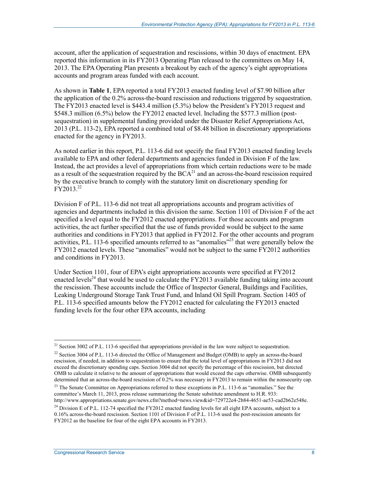account, after the application of sequestration and rescissions, within 30 days of enactment. EPA reported this information in its FY2013 Operating Plan released to the committees on May 14, 2013. The EPA Operating Plan presents a breakout by each of the agency's eight appropriations accounts and program areas funded with each account.

As shown in **Table 1**, EPA reported a total FY2013 enacted funding level of \$7.90 billion after the application of the 0.2% across-the-board rescission and reductions triggered by sequestration. The FY2013 enacted level is \$443.4 million (5.3%) below the President's FY2013 request and \$548.3 million (6.5%) below the FY2012 enacted level. Including the \$577.3 million (postsequestration) in supplemental funding provided under the Disaster Relief Appropriations Act, 2013 (P.L. 113-2), EPA reported a combined total of \$8.48 billion in discretionary appropriations enacted for the agency in FY2013.

As noted earlier in this report, P.L. 113-6 did not specify the final FY2013 enacted funding levels available to EPA and other federal departments and agencies funded in Division F of the law. Instead, the act provides a level of appropriations from which certain reductions were to be made as a result of the sequestration required by the  $BCA<sup>21</sup>$  and an across-the-board rescission required by the executive branch to comply with the statutory limit on discretionary spending for  $FY2013.<sup>22</sup>$ 

Division F of P.L. 113-6 did not treat all appropriations accounts and program activities of agencies and departments included in this division the same. Section 1101 of Division F of the act specified a level equal to the FY2012 enacted appropriations. For those accounts and program activities, the act further specified that the use of funds provided would be subject to the same authorities and conditions in FY2013 that applied in FY2012. For the other accounts and program activities, P.L. 113-6 specified amounts referred to as "anomalies"<sup>23</sup> that were generally below the FY2012 enacted levels. These "anomalies" would not be subject to the same FY2012 authorities and conditions in FY2013.

Under Section 1101, four of EPA's eight appropriations accounts were specified at FY2012 enacted levels<sup>24</sup> that would be used to calculate the FY2013 available funding taking into account the rescission. These accounts include the Office of Inspector General, Buildings and Facilities, Leaking Underground Storage Tank Trust Fund, and Inland Oil Spill Program. Section 1405 of P.L. 113-6 specified amounts below the FY2012 enacted for calculating the FY2013 enacted funding levels for the four other EPA accounts, including

<sup>&</sup>lt;sup>21</sup> Section 3002 of P.L. 113-6 specified that appropriations provided in the law were subject to sequestration.

<sup>&</sup>lt;sup>22</sup> Section 3004 of P.L. 113-6 directed the Office of Management and Budget (OMB) to apply an across-the-board rescission, if needed, in addition to sequestration to ensure that the total level of appropriations in FY2013 did not exceed the discretionary spending caps. Section 3004 did not specify the percentage of this rescission, but directed OMB to calculate it relative to the amount of appropriations that would exceed the caps otherwise. OMB subsequently determined that an across-the-board rescission of 0.2% was necessary in FY2013 to remain within the nonsecurity cap.

<sup>&</sup>lt;sup>23</sup> The Senate Committee on Appropriations referred to these exceptions in P.L. 113-6 as "anomalies." See the committee's March 11, 2013, press release summarizing the Senate substitute amendment to H.R. 933: http://www.appropriations.senate.gov/news.cfm?method=news.view&id=729722e4-2b84-4651-ae53-cad2b62e548e.

<sup>&</sup>lt;sup>24</sup> Division E of P.L. 112-74 specified the FY2012 enacted funding levels for all eight EPA accounts, subject to a 0.16% across-the-board rescission. Section 1101 of Division F of P.L. 113-6 used the post-rescission amounts for FY2012 as the baseline for four of the eight EPA accounts in FY2013.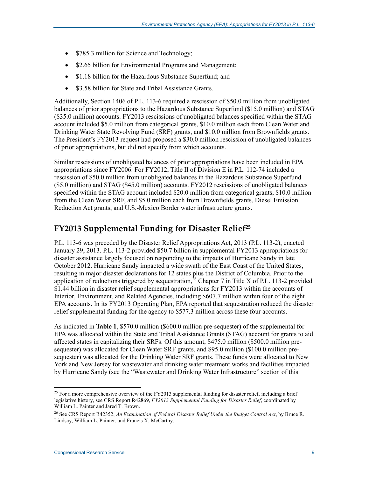- \$785.3 million for Science and Technology;
- \$2.65 billion for Environmental Programs and Management;
- \$1.18 billion for the Hazardous Substance Superfund; and
- \$3.58 billion for State and Tribal Assistance Grants.

Additionally, Section 1406 of P.L. 113-6 required a rescission of \$50.0 million from unobligated balances of prior appropriations to the Hazardous Substance Superfund (\$15.0 million) and STAG (\$35.0 million) accounts. FY2013 rescissions of unobligated balances specified within the STAG account included \$5.0 million from categorical grants, \$10.0 million each from Clean Water and Drinking Water State Revolving Fund (SRF) grants, and \$10.0 million from Brownfields grants. The President's FY2013 request had proposed a \$30.0 million rescission of unobligated balances of prior appropriations, but did not specify from which accounts.

Similar rescissions of unobligated balances of prior appropriations have been included in EPA appropriations since FY2006. For FY2012, Title II of Division E in P.L. 112-74 included a rescission of \$50.0 million from unobligated balances in the Hazardous Substance Superfund (\$5.0 million) and STAG (\$45.0 million) accounts. FY2012 rescissions of unobligated balances specified within the STAG account included \$20.0 million from categorical grants, \$10.0 million from the Clean Water SRF, and \$5.0 million each from Brownfields grants, Diesel Emission Reduction Act grants, and U.S.-Mexico Border water infrastructure grants.

#### **FY2013 Supplemental Funding for Disaster Relief25**

P.L. 113-6 was preceded by the Disaster Relief Appropriations Act, 2013 (P.L. 113-2), enacted January 29, 2013. P.L. 113-2 provided \$50.7 billion in supplemental FY2013 appropriations for disaster assistance largely focused on responding to the impacts of Hurricane Sandy in late October 2012. Hurricane Sandy impacted a wide swath of the East Coast of the United States, resulting in major disaster declarations for 12 states plus the District of Columbia. Prior to the application of reductions triggered by sequestration,<sup> $26$ </sup> Chapter 7 in Title X of P.L. 113-2 provided \$1.44 billion in disaster relief supplemental appropriations for FY2013 within the accounts of Interior, Environment, and Related Agencies, including \$607.7 million within four of the eight EPA accounts. In its FY2013 Operating Plan, EPA reported that sequestration reduced the disaster relief supplemental funding for the agency to \$577.3 million across these four accounts.

As indicated in **Table 1**, \$570.0 million (\$600.0 million pre-sequester) of the supplemental for EPA was allocated within the State and Tribal Assistance Grants (STAG) account for grants to aid affected states in capitalizing their SRFs. Of this amount, \$475.0 million (\$500.0 million presequester) was allocated for Clean Water SRF grants, and \$95.0 million (\$100.0 million presequester) was allocated for the Drinking Water SRF grants. These funds were allocated to New York and New Jersey for wastewater and drinking water treatment works and facilities impacted by Hurricane Sandy (see the "Wastewater and Drinking Water Infrastructure" section of this

<sup>&</sup>lt;sup>25</sup> For a more comprehensive overview of the FY2013 supplemental funding for disaster relief, including a brief legislative history, see CRS Report R42869, *FY2013 Supplemental Funding for Disaster Relief*, coordinated by William L. Painter and Jared T. Brown.

<sup>26</sup> See CRS Report R42352, *An Examination of Federal Disaster Relief Under the Budget Control Act*, by Bruce R. Lindsay, William L. Painter, and Francis X. McCarthy.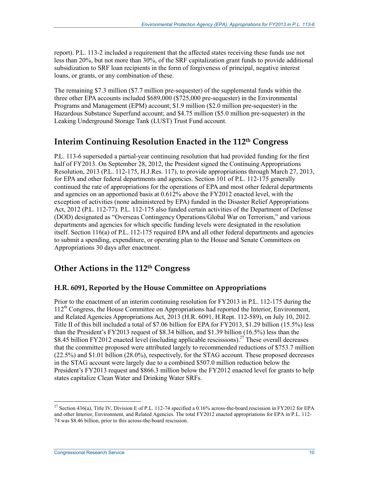report). P.L. 113-2 included a requirement that the affected states receiving these funds use not less than 20%, but not more than 30%, of the SRF capitalization grant funds to provide additional subsidization to SRF loan recipients in the form of forgiveness of principal, negative interest loans, or grants, or any combination of these.

The remaining \$7.3 million (\$7.7 million pre-sequester) of the supplemental funds within the three other EPA accounts included \$689,000 (\$725,000 pre-sequester) in the Environmental Programs and Management (EPM) account; \$1.9 million (\$2.0 million pre-sequester) in the Hazardous Substance Superfund account; and \$4.75 million (\$5.0 million pre-sequester) in the Leaking Underground Storage Tank (LUST) Trust Fund account.

### **Interim Continuing Resolution Enacted in the 112th Congress**

P.L. 113-6 superseded a partial-year continuing resolution that had provided funding for the first half of FY2013. On September 28, 2012, the President signed the Continuing Appropriations Resolution, 2013 (P.L. 112-175, H.J.Res. 117), to provide appropriations through March 27, 2013, for EPA and other federal departments and agencies. Section 101 of P.L. 112-175 generally continued the rate of appropriations for the operations of EPA and most other federal departments and agencies on an apportioned basis at 0.612% above the FY2012 enacted level, with the exception of activities (none administered by EPA) funded in the Disaster Relief Appropriations Act, 2012 (P.L. 112-77). P.L. 112-175 also funded certain activities of the Department of Defense (DOD) designated as "Overseas Contingency Operations/Global War on Terrorism," and various departments and agencies for which specific funding levels were designated in the resolution itself. Section 116(a) of P.L. 112-175 required EPA and all other federal departments and agencies to submit a spending, expenditure, or operating plan to the House and Senate Committees on Appropriations 30 days after enactment.

### **Other Actions in the 112th Congress**

#### **H.R. 6091, Reported by the House Committee on Appropriations**

Prior to the enactment of an interim continuing resolution for FY2013 in P.L. 112-175 during the 112th Congress, the House Committee on Appropriations had reported the Interior, Environment, and Related Agencies Appropriations Act, 2013 (H.R. 6091, H.Rept. 112-589), on July 10, 2012. Title II of this bill included a total of \$7.06 billion for EPA for FY2013, \$1.29 billion (15.5%) less than the President's FY2013 request of \$8.34 billion, and \$1.39 billion (16.5%) less than the \$8.45 billion FY2012 enacted level (including applicable rescissions).<sup>27</sup> These overall decreases that the committee proposed were attributed largely to recommended reductions of \$753.7 million (22.5%) and \$1.01 billion (28.0%), respectively, for the STAG account. These proposed decreases in the STAG account were largely due to a combined \$507.0 million reduction below the President's FY2013 request and \$866.3 million below the FY2012 enacted level for grants to help states capitalize Clean Water and Drinking Water SRFs.

<sup>&</sup>lt;sup>27</sup> Section 436(a), Title IV, Division E of P.L. 112-74 specified a 0.16% across-the-board rescission in FY2012 for EPA and other Interior, Environment, and Related Agencies. The total FY2012 enacted appropriations for EPA in P.L. 112- 74 was \$8.46 billion, prior to this across-the-board rescission.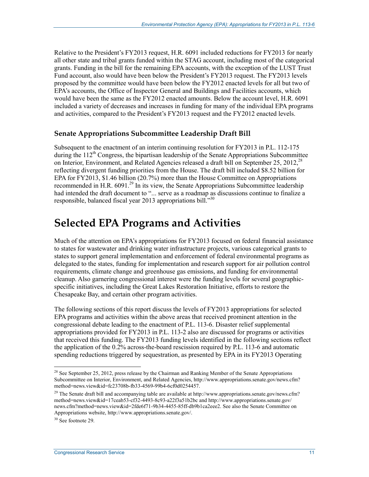Relative to the President's FY2013 request, H.R. 6091 included reductions for FY2013 for nearly all other state and tribal grants funded within the STAG account, including most of the categorical grants. Funding in the bill for the remaining EPA accounts, with the exception of the LUST Trust Fund account, also would have been below the President's FY2013 request. The FY2013 levels proposed by the committee would have been below the FY2012 enacted levels for all but two of EPA's accounts, the Office of Inspector General and Buildings and Facilities accounts, which would have been the same as the FY2012 enacted amounts. Below the account level, H.R. 6091 included a variety of decreases and increases in funding for many of the individual EPA programs and activities, compared to the President's FY2013 request and the FY2012 enacted levels.

#### **Senate Appropriations Subcommittee Leadership Draft Bill**

Subsequent to the enactment of an interim continuing resolution for FY2013 in P.L. 112-175 during the  $112<sup>th</sup>$  Congress, the bipartisan leadership of the Senate Appropriations Subcommittee on Interior, Environment, and Related Agencies released a draft bill on September 25, 2012,<sup>28</sup> reflecting divergent funding priorities from the House. The draft bill included \$8.52 billion for EPA for FY2013, \$1.46 billion (20.7%) more than the House Committee on Appropriations recommended in H.R.  $6091<sup>29</sup>$  In its view, the Senate Appropriations Subcommittee leadership had intended the draft document to "... serve as a roadmap as discussions continue to finalize a responsible, balanced fiscal year 2013 appropriations bill."30

## **Selected EPA Programs and Activities**

Much of the attention on EPA's appropriations for FY2013 focused on federal financial assistance to states for wastewater and drinking water infrastructure projects, various categorical grants to states to support general implementation and enforcement of federal environmental programs as delegated to the states, funding for implementation and research support for air pollution control requirements, climate change and greenhouse gas emissions, and funding for environmental cleanup. Also garnering congressional interest were the funding levels for several geographicspecific initiatives, including the Great Lakes Restoration Initiative, efforts to restore the Chesapeake Bay, and certain other program activities.

The following sections of this report discuss the levels of FY2013 appropriations for selected EPA programs and activities within the above areas that received prominent attention in the congressional debate leading to the enactment of P.L. 113-6. Disaster relief supplemental appropriations provided for FY2013 in P.L. 113-2 also are discussed for programs or activities that received this funding. The FY2013 funding levels identified in the following sections reflect the application of the 0.2% across-the-board rescission required by P.L. 113-6 and automatic spending reductions triggered by sequestration, as presented by EPA in its FY2013 Operating

 $28$  See September 25, 2012, press release by the Chairman and Ranking Member of the Senate Appropriations Subcommittee on Interior, Environment, and Related Agencies, http://www.appropriations.senate.gov/news.cfm? method=news.view&id=fc23708b-fb33-4569-99b4-6cf0d0254457.

<sup>&</sup>lt;sup>29</sup> The Senate draft bill and accompanying table are available at http://www.appropriations.senate.gov/news.cfm? method=news.view&id=17ceab53-cf32-4493-8c93-a22f3a51b2bc and http://www.appropriations.senate.gov/ news.cfm?method=news.view&id=2fde6f71-9b34-4455-85ff-db9b1ca2eee2. See also the Senate Committee on Appropriations website, http://www.appropriations.senate.gov/.

 $30$  See footnote 29.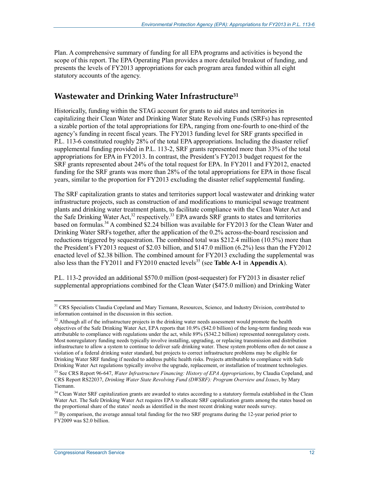Plan. A comprehensive summary of funding for all EPA programs and activities is beyond the scope of this report. The EPA Operating Plan provides a more detailed breakout of funding, and presents the levels of FY2013 appropriations for each program area funded within all eight statutory accounts of the agency.

#### **Wastewater and Drinking Water Infrastructure31**

Historically, funding within the STAG account for grants to aid states and territories in capitalizing their Clean Water and Drinking Water State Revolving Funds (SRFs) has represented a sizable portion of the total appropriations for EPA, ranging from one-fourth to one-third of the agency's funding in recent fiscal years. The FY2013 funding level for SRF grants specified in P.L. 113-6 constituted roughly 28% of the total EPA appropriations. Including the disaster relief supplemental funding provided in P.L. 113-2, SRF grants represented more than 33% of the total appropriations for EPA in FY2013. In contrast, the President's FY2013 budget request for the SRF grants represented about 24% of the total request for EPA. In FY2011 and FY2012, enacted funding for the SRF grants was more than 28% of the total appropriations for EPA in those fiscal years, similar to the proportion for FY2013 excluding the disaster relief supplemental funding.

The SRF capitalization grants to states and territories support local wastewater and drinking water infrastructure projects, such as construction of and modifications to municipal sewage treatment plants and drinking water treatment plants, to facilitate compliance with the Clean Water Act and the Safe Drinking Water Act,<sup>32</sup> respectively.<sup>33</sup> EPA awards SRF grants to states and territories based on formulas.<sup>34</sup> A combined \$2.24 billion was available for FY2013 for the Clean Water and Drinking Water SRFs together, after the application of the 0.2% across-the-board rescission and reductions triggered by sequestration. The combined total was \$212.4 million (10.5%) more than the President's FY2013 request of \$2.03 billion, and \$147.0 million (6.2%) less than the FY2012 enacted level of \$2.38 billion. The combined amount for FY2013 excluding the supplemental was also less than the FY2011 and FY2010 enacted levels<sup>35</sup> (see **Table A-1** in **Appendix A**).

P.L. 113-2 provided an additional \$570.0 million (post-sequester) for FY2013 in disaster relief supplemental appropriations combined for the Clean Water (\$475.0 million) and Drinking Water

<sup>&</sup>lt;sup>31</sup> CRS Specialists Claudia Copeland and Mary Tiemann, Resources, Science, and Industry Division, contributed to information contained in the discussion in this section.

 $32$  Although all of the infrastructure projects in the drinking water needs assessment would promote the health objectives of the Safe Drinking Water Act, EPA reports that 10.9% (\$42.0 billion) of the long-term funding needs was attributable to compliance with regulations under the act, while 89% (\$342.2 billion) represented nonregulatory costs. Most nonregulatory funding needs typically involve installing, upgrading, or replacing transmission and distribution infrastructure to allow a system to continue to deliver safe drinking water. These system problems often do not cause a violation of a federal drinking water standard, but projects to correct infrastructure problems may be eligible for Drinking Water SRF funding if needed to address public health risks. Projects attributable to compliance with Safe Drinking Water Act regulations typically involve the upgrade, replacement, or installation of treatment technologies.

<sup>33</sup> See CRS Report 96-647, *Water Infrastructure Financing: History of EPA Appropriations*, by Claudia Copeland, and CRS Report RS22037, *Drinking Water State Revolving Fund (DWSRF): Program Overview and Issues*, by Mary Tiemann.

<sup>&</sup>lt;sup>34</sup> Clean Water SRF capitalization grants are awarded to states according to a statutory formula established in the Clean Water Act. The Safe Drinking Water Act requires EPA to allocate SRF capitalization grants among the states based on the proportional share of the states' needs as identified in the most recent drinking water needs survey.

<sup>&</sup>lt;sup>35</sup> By comparison, the average annual total funding for the two SRF programs during the 12-year period prior to FY2009 was \$2.0 billion.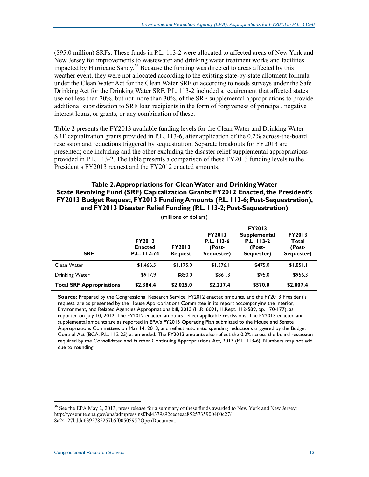(\$95.0 million) SRFs. These funds in P.L. 113-2 were allocated to affected areas of New York and New Jersey for improvements to wastewater and drinking water treatment works and facilities impacted by Hurricane Sandy.<sup>36</sup> Because the funding was directed to areas affected by this weather event, they were not allocated according to the existing state-by-state allotment formula under the Clean Water Act for the Clean Water SRF or according to needs surveys under the Safe Drinking Act for the Drinking Water SRF. P.L. 113-2 included a requirement that affected states use not less than 20%, but not more than 30%, of the SRF supplemental appropriations to provide additional subsidization to SRF loan recipients in the form of forgiveness of principal, negative interest loans, or grants, or any combination of these.

**Table 2** presents the FY2013 available funding levels for the Clean Water and Drinking Water SRF capitalization grants provided in P.L. 113-6, after application of the 0.2% across-the-board rescission and reductions triggered by sequestration. Separate breakouts for FY2013 are presented; one including and the other excluding the disaster relief supplemental appropriations provided in P.L. 113-2. The table presents a comparison of these FY2013 funding levels to the President's FY2013 request and the FY2012 enacted amounts.

#### **Table 2. Appropriations for Clean Water and Drinking Water State Revolving Fund (SRF) Capitalization Grants: FY2012 Enacted, the President's FY2013 Budget Request, FY2013 Funding Amounts (P.L. 113-6; Post-Sequestration), and FY2013 Disaster Relief Funding (P.L. 113-2; Post-Sequestration)**

| (millions of dollars)           |                                                |                                 |                                                     |                                                                            |                                                |  |  |
|---------------------------------|------------------------------------------------|---------------------------------|-----------------------------------------------------|----------------------------------------------------------------------------|------------------------------------------------|--|--|
| <b>SRF</b>                      | <b>FY2012</b><br><b>Enacted</b><br>P.L. 112-74 | <b>FY2013</b><br><b>Request</b> | <b>FY2013</b><br>P.L. 113-6<br>(Post-<br>Sequester) | <b>FY2013</b><br><b>Supplemental</b><br>P.L. 113-2<br>(Post-<br>Sequester) | <b>FY2013</b><br>Total<br>(Post-<br>Sequester) |  |  |
| Clean Water                     | \$1,466.5                                      | \$1,175.0                       | \$1,376.1                                           | \$475.0                                                                    | \$1,851.1                                      |  |  |
| <b>Drinking Water</b>           | \$917.9                                        | \$850.0                         | \$861.3                                             | \$95.0                                                                     | \$956.3                                        |  |  |
| <b>Total SRF Appropriations</b> | \$2,384.4                                      | \$2,025.0                       | \$2,237.4                                           | \$570.0                                                                    | \$2,807.4                                      |  |  |

**Source:** Prepared by the Congressional Research Service. FY2012 enacted amounts, and the FY2013 President's request, are as presented by the House Appropriations Committee in its report accompanying the Interior, Environment, and Related Agencies Appropriations bill, 2013 (H.R. 6091, H.Rept. 112-589, pp. 170-177), as reported on July 10, 2012. The FY2012 enacted amounts reflect applicable rescissions. The FY2013 enacted and supplemental amounts are as reported in EPA's FY2013 Operating Plan submitted to the House and Senate Appropriations Committees on May 14, 2013, and reflect automatic spending reductions triggered by the Budget Control Act (BCA; P.L. 112-25) as amended. The FY2013 amounts also reflect the 0.2% across-the-board rescission required by the Consolidated and Further Continuing Appropriations Act, 2013 (P.L. 113-6). Numbers may not add due to rounding.

<sup>&</sup>lt;sup>36</sup> See the EPA May 2, 2013, press release for a summary of these funds awarded to New York and New Jersey: http://yosemite.epa.gov/opa/admpress.nsf/bd4379a92ceceeac8525735900400c27/ 8a24127bddd6392785257b5f0050595f!OpenDocument.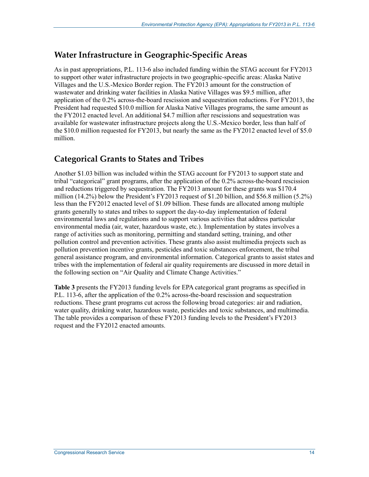#### **Water Infrastructure in Geographic-Specific Areas**

As in past appropriations, P.L. 113-6 also included funding within the STAG account for FY2013 to support other water infrastructure projects in two geographic-specific areas: Alaska Native Villages and the U.S.-Mexico Border region. The FY2013 amount for the construction of wastewater and drinking water facilities in Alaska Native Villages was \$9.5 million, after application of the 0.2% across-the-board rescission and sequestration reductions. For FY2013, the President had requested \$10.0 million for Alaska Native Villages programs, the same amount as the FY2012 enacted level. An additional \$4.7 million after rescissions and sequestration was available for wastewater infrastructure projects along the U.S.-Mexico border, less than half of the \$10.0 million requested for FY2013, but nearly the same as the FY2012 enacted level of \$5.0 million.

### **Categorical Grants to States and Tribes**

Another \$1.03 billion was included within the STAG account for FY2013 to support state and tribal "categorical" grant programs, after the application of the 0.2% across-the-board rescission and reductions triggered by sequestration. The FY2013 amount for these grants was \$170.4 million (14.2%) below the President's FY2013 request of \$1.20 billion, and \$56.8 million (5.2%) less than the FY2012 enacted level of \$1.09 billion. These funds are allocated among multiple grants generally to states and tribes to support the day-to-day implementation of federal environmental laws and regulations and to support various activities that address particular environmental media (air, water, hazardous waste, etc.). Implementation by states involves a range of activities such as monitoring, permitting and standard setting, training, and other pollution control and prevention activities. These grants also assist multimedia projects such as pollution prevention incentive grants, pesticides and toxic substances enforcement, the tribal general assistance program, and environmental information. Categorical grants to assist states and tribes with the implementation of federal air quality requirements are discussed in more detail in the following section on "Air Quality and Climate Change Activities."

**Table 3** presents the FY2013 funding levels for EPA categorical grant programs as specified in P.L. 113-6, after the application of the 0.2% across-the-board rescission and sequestration reductions. These grant programs cut across the following broad categories: air and radiation, water quality, drinking water, hazardous waste, pesticides and toxic substances, and multimedia. The table provides a comparison of these FY2013 funding levels to the President's FY2013 request and the FY2012 enacted amounts.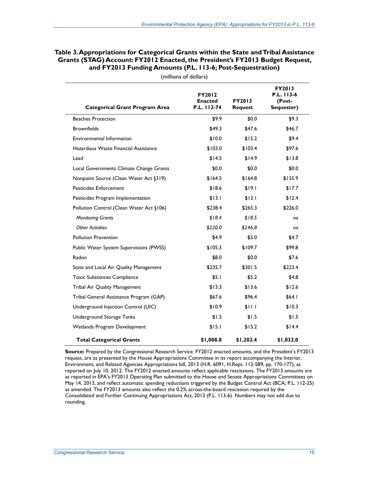| <b>Categorical Grant Program Area</b>    | FY2012<br><b>Enacted</b><br>P.L. 112-74 | <b>FY2013</b><br><b>Request</b> | <b>FY2013</b><br>P.L. 113-6<br>(Post-<br>Sequester) |
|------------------------------------------|-----------------------------------------|---------------------------------|-----------------------------------------------------|
| <b>Beaches Protection</b>                | \$9.9                                   | \$0.0                           | \$9.3                                               |
| <b>Brownfields</b>                       | \$49.3                                  | \$47.6                          | \$46.7                                              |
| <b>Environmental Information</b>         | \$10.0                                  | \$15.2                          | \$9.4                                               |
| Hazardous Waste Financial Assistance     | \$103.0                                 | \$103.4                         | \$97.6                                              |
| Lead                                     | \$14.5                                  | \$14.9                          | \$13.8                                              |
| Local Governments Climate Change Grants  | \$0.0                                   | \$0.0                           | \$0.0                                               |
| Nonpoint Source (Clean Water Act §319)   | \$164.5                                 | \$164.8                         | \$155.9                                             |
| <b>Pesticides Enforcement</b>            | \$18.6                                  | \$19.1                          | \$17.7                                              |
| Pesticides Program Implementation        | \$13.1                                  | \$13.1                          | \$12.4                                              |
| Pollution Control (Clean Water Act §106) | \$238.4                                 | \$265.3                         | \$226.0                                             |
| <b>Monitoring Grants</b>                 | \$18.4                                  | \$18.5                          | na                                                  |
| <b>Other Activities</b>                  | \$220.0                                 | \$246.8                         | na                                                  |
| <b>Pollution Prevention</b>              | \$4.9                                   | \$5.0                           | \$4.7                                               |
| Public Water System Supervisions (PWSS)  | \$105.3                                 | \$109.7                         | \$99.8                                              |
| Radon                                    | \$8.0                                   | \$0.0                           | \$7.6                                               |
| State and Local Air Quality Management   | \$235.7                                 | \$301.5                         | \$223.4                                             |
| Toxic Substances Compliance              | \$5.1                                   | \$5.2                           | \$4.8                                               |
| Tribal Air Quality Management            | \$13.3                                  | \$13.6                          | \$12.6                                              |
| Tribal General Assistance Program (GAP)  | \$67.6                                  | \$96.4                          | \$64.1                                              |
| Underground Injection Control (UIC)      | \$10.9                                  | \$11.1                          | \$10.3                                              |
| Underground Storage Tanks                | \$1.5                                   | \$1.5                           | \$1.5                                               |
| Wetlands Program Development             | \$15.1                                  | \$15.2                          | \$14.4                                              |
| <b>Total Categorical Grants</b>          | \$1,088.8                               | \$1,202.4                       | \$1,032.0                                           |

#### **Table 3. Appropriations for Categorical Grants within the State and Tribal Assistance Grants (STAG) Account: FY2012 Enacted, the President's FY2013 Budget Request, and FY2013 Funding Amounts (P.L. 113-6; Post-Sequestration)**

(millions of dollars)

**Source:** Prepared by the Congressional Research Service. FY2012 enacted amounts, and the President's FY2013 request, are as presented by the House Appropriations Committee in its report accompanying the Interior, Environment, and Related Agencies Appropriations bill, 2013 (H.R. 6091, H.Rept. 112-589, pp. 170-177), as reported on July 10, 2012. The FY2012 enacted amounts reflect applicable rescissions. The FY2013 amounts are as reported in EPA's FY2013 Operating Plan submitted to the House and Senate Appropriations Committees on May 14, 2013, and reflect automatic spending reductions triggered by the Budget Control Act (BCA; P.L. 112-25) as amended. The FY2013 amounts also reflect the 0.2% across-the-board rescission required by the Consolidated and Further Continuing Appropriations Act, 2013 (P.L. 113-6). Numbers may not add due to rounding.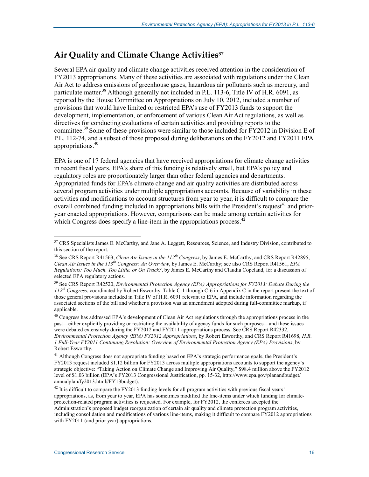### Air Quality and Climate Change Activities<sup>37</sup>

Several EPA air quality and climate change activities received attention in the consideration of FY2013 appropriations. Many of these activities are associated with regulations under the Clean Air Act to address emissions of greenhouse gases, hazardous air pollutants such as mercury, and particulate matter.<sup>38</sup> Although generally not included in P.L. 113-6, Title IV of H.R. 6091, as reported by the House Committee on Appropriations on July 10, 2012, included a number of provisions that would have limited or restricted EPA's use of FY2013 funds to support the development, implementation, or enforcement of various Clean Air Act regulations, as well as directives for conducting evaluations of certain activities and providing reports to the committee.<sup>39</sup> Some of these provisions were similar to those included for FY2012 in Division E of P.L. 112-74, and a subset of those proposed during deliberations on the FY2012 and FY2011 EPA appropriations.<sup>40</sup>

EPA is one of 17 federal agencies that have received appropriations for climate change activities in recent fiscal years. EPA's share of this funding is relatively small, but EPA's policy and regulatory roles are proportionately larger than other federal agencies and departments. Appropriated funds for EPA's climate change and air quality activities are distributed across several program activities under multiple appropriations accounts. Because of variability in these activities and modifications to account structures from year to year, it is difficult to compare the overall combined funding included in appropriations bills with the President's request<sup>41</sup> and prioryear enacted appropriations. However, comparisons can be made among certain activities for which Congress does specify a line-item in the appropriations process.  $42$ 

<sup>&</sup>lt;sup>37</sup> CRS Specialists James E. McCarthy, and Jane A. Leggett, Resources, Science, and Industry Division, contributed to this section of the report.

<sup>38</sup> See CRS Report R41563, *Clean Air Issues in the 112th Congress*, by James E. McCarthy, and CRS Report R42895, *Clean Air Issues in the 113th Congress: An Overview*, by James E. McCarthy; see also CRS Report R41561, *EPA Regulations: Too Much, Too Little, or On Track?*, by James E. McCarthy and Claudia Copeland, for a discussion of selected EPA regulatory actions.

<sup>39</sup> See CRS Report R42520, *Environmental Protection Agency (EPA) Appropriations for FY2013: Debate During the 112th Congress*, coordinated by Robert Esworthy. Table C-1 through C-6 in Appendix C in the report present the text of those general provisions included in Title IV of H.R. 6091 relevant to EPA, and include information regarding the associated sections of the bill and whether a provision was an amendment adopted during full-committee markup, if applicable.

<sup>&</sup>lt;sup>40</sup> Congress has addressed EPA's development of Clean Air Act regulations through the appropriations process in the past—either explicitly providing or restricting the availability of agency funds for such purposes—and these issues were debated extensively during the FY2012 and FY2011 appropriations process. See CRS Report R42332, *Environmental Protection Agency (EPA) FY2012 Appropriations*, by Robert Esworthy, and CRS Report R41698, *H.R. 1 Full-Year FY2011 Continuing Resolution: Overview of Environmental Protection Agency (EPA) Provisions*, by Robert Esworthy.

<sup>&</sup>lt;sup>41</sup> Although Congress does not appropriate funding based on EPA's strategic performance goals, the President's FY2013 request included \$1.12 billion for FY2013 across multiple appropriations accounts to support the agency's strategic objective: "Taking Action on Climate Change and Improving Air Quality," \$98.4 million above the FY2012 level of \$1.03 billion (EPA's FY2013 Congressional Justification, pp. 15-32, http://www.epa.gov/planandbudget/ annualplan/fy2013.html#FY13budget).

 $^{42}$  It is difficult to compare the FY2013 funding levels for all program activities with previous fiscal years' appropriations, as, from year to year, EPA has sometimes modified the line-items under which funding for climateprotection-related program activities is requested. For example, for FY2012, the conferees accepted the Administration's proposed budget reorganization of certain air quality and climate protection program activities, including consolidation and modifications of various line-items, making it difficult to compare FY2012 appropriations with FY2011 (and prior year) appropriations.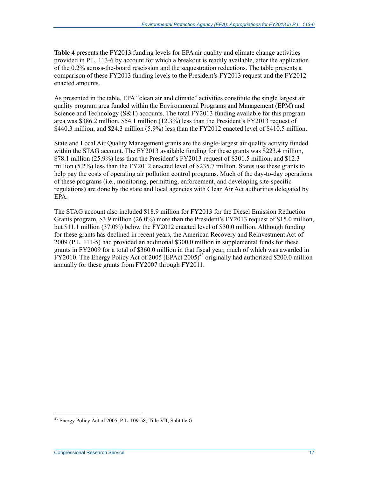**Table 4** presents the FY2013 funding levels for EPA air quality and climate change activities provided in P.L. 113-6 by account for which a breakout is readily available, after the application of the 0.2% across-the-board rescission and the sequestration reductions. The table presents a comparison of these FY2013 funding levels to the President's FY2013 request and the FY2012 enacted amounts.

As presented in the table, EPA "clean air and climate" activities constitute the single largest air quality program area funded within the Environmental Programs and Management (EPM) and Science and Technology (S&T) accounts. The total FY2013 funding available for this program area was \$386.2 million, \$54.1 million (12.3%) less than the President's FY2013 request of \$440.3 million, and \$24.3 million (5.9%) less than the FY2012 enacted level of \$410.5 million.

State and Local Air Quality Management grants are the single-largest air quality activity funded within the STAG account. The FY2013 available funding for these grants was \$223.4 million, \$78.1 million (25.9%) less than the President's FY2013 request of \$301.5 million, and \$12.3 million (5.2%) less than the FY2012 enacted level of \$235.7 million. States use these grants to help pay the costs of operating air pollution control programs. Much of the day-to-day operations of these programs (i.e., monitoring, permitting, enforcement, and developing site-specific regulations) are done by the state and local agencies with Clean Air Act authorities delegated by EPA.

The STAG account also included \$18.9 million for FY2013 for the Diesel Emission Reduction Grants program, \$3.9 million (26.0%) more than the President's FY2013 request of \$15.0 million, but \$11.1 million (37.0%) below the FY2012 enacted level of \$30.0 million. Although funding for these grants has declined in recent years, the American Recovery and Reinvestment Act of 2009 (P.L. 111-5) had provided an additional \$300.0 million in supplemental funds for these grants in FY2009 for a total of \$360.0 million in that fiscal year, much of which was awarded in FY2010. The Energy Policy Act of 2005 (EPAct 2005)<sup>43</sup> originally had authorized \$200.0 million annually for these grants from FY2007 through FY2011.

<sup>&</sup>lt;sup>43</sup> Energy Policy Act of 2005, P.L. 109-58, Title VII, Subtitle G.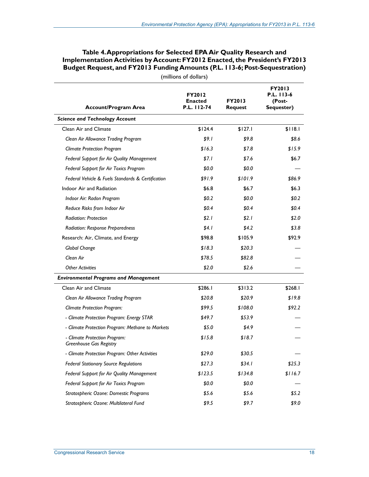| (millions of dollars)                                    |                                                |                                 |                                                     |  |  |  |
|----------------------------------------------------------|------------------------------------------------|---------------------------------|-----------------------------------------------------|--|--|--|
| <b>Account/Program Area</b>                              | <b>FY2012</b><br><b>Enacted</b><br>P.L. 112-74 | <b>FY2013</b><br><b>Request</b> | <b>FY2013</b><br>P.L. 113-6<br>(Post-<br>Sequester) |  |  |  |
| <b>Science and Technology Account</b>                    |                                                |                                 |                                                     |  |  |  |
| <b>Clean Air and Climate</b>                             | \$124.4                                        | \$127.1                         | \$118.1                                             |  |  |  |
| Clean Air Allowance Trading Program                      | \$9.1                                          | \$9.8                           | \$8.6                                               |  |  |  |
| <b>Climate Protection Program</b>                        | \$16.3                                         | \$7.8                           | \$15.9                                              |  |  |  |
| Federal Support for Air Quality Management               | \$7.1                                          | \$7.6                           | \$6.7                                               |  |  |  |
| Federal Support for Air Toxics Program                   | \$0.0                                          | \$0.0                           |                                                     |  |  |  |
| Federal Vehicle & Fuels Standards & Certification        | \$91.9                                         | \$101.9                         | \$86.9                                              |  |  |  |
| Indoor Air and Radiation                                 | \$6.8                                          | \$6.7                           | \$6.3\$                                             |  |  |  |
| Indoor Air: Radon Program                                | \$0.2\$                                        | \$0.0                           | \$0.2\$                                             |  |  |  |
| Reduce Risks from Indoor Air                             | \$0.4\$                                        | \$0.4\$                         | \$0.4\$                                             |  |  |  |
| Radiation: Protection                                    | \$2.1                                          | \$2.1                           | \$2.0                                               |  |  |  |
| <b>Radiation: Response Preparedness</b>                  | \$4.1                                          | \$4.2                           | \$3.8\$                                             |  |  |  |
| Research: Air, Climate, and Energy                       | \$98.8                                         | \$105.9                         | \$92.9                                              |  |  |  |
| Global Change                                            | \$18.3                                         | \$20.3                          |                                                     |  |  |  |
| Clean Air                                                | \$78.5                                         | \$82.8                          |                                                     |  |  |  |
| <b>Other Activities</b>                                  | \$2.0                                          | \$2.6                           |                                                     |  |  |  |
| <b>Environmental Programs and Management</b>             |                                                |                                 |                                                     |  |  |  |
| <b>Clean Air and Climate</b>                             | \$286.1                                        | \$313.2                         | \$268.I                                             |  |  |  |
| Clean Air Allowance Trading Program                      | \$20.8                                         | \$20.9                          | \$19.8                                              |  |  |  |
| <b>Climate Protection Program:</b>                       | \$99.5                                         | \$108.0                         | \$92.2                                              |  |  |  |
| - Climate Protection Program: Energy STAR                | \$49.7                                         | \$53.9                          |                                                     |  |  |  |
| - Climate Protection Program: Methane to Markets         | \$5.0                                          | \$4.9                           |                                                     |  |  |  |
| - Climate Protection Program:<br>Greenhouse Gas Registry | \$15.8                                         | \$18.7                          |                                                     |  |  |  |
| - Climate Protection Program: Other Activities           | \$29.0                                         | \$30.5                          |                                                     |  |  |  |
| <b>Federal Stationary Source Regulations</b>             | \$27.3                                         | \$34.1                          | \$25.3                                              |  |  |  |
| Federal Support for Air Quality Management               | \$123.5                                        | \$134.8                         | \$116.7                                             |  |  |  |
| Federal Support for Air Toxics Program                   | \$0.0                                          | \$0.0                           |                                                     |  |  |  |
| Stratospheric Ozone: Domestic Programs                   | \$5.6                                          | \$5.6                           | \$5.2\$                                             |  |  |  |
| Stratospheric Ozone: Multilateral Fund                   | \$9.5                                          | \$9.7                           | \$9.0                                               |  |  |  |

#### **Table 4. Appropriations for Selected EPA Air Quality Research and Implementation Activities by Account: FY2012 Enacted, the President's FY2013 Budget Request, and FY2013 Funding Amounts (P.L. 113-6; Post-Sequestration)**

**Congressional Research Service 18** 18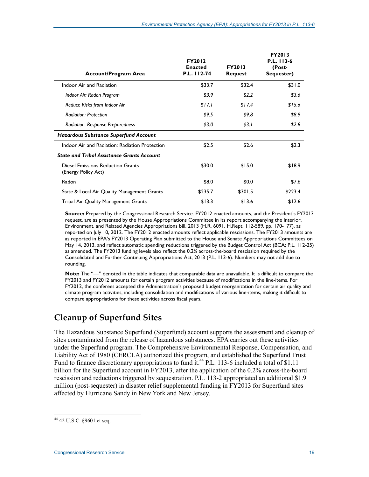| <b>Account/Program Area</b>                                     | <b>FY2012</b><br><b>Enacted</b><br>P.L. 112-74 | <b>FY2013</b><br><b>Request</b> | FY2013<br>P.L. 113-6<br>(Post-<br>Sequester) |
|-----------------------------------------------------------------|------------------------------------------------|---------------------------------|----------------------------------------------|
| Indoor Air and Radiation                                        | \$33.7                                         | \$32.4                          | \$31.0                                       |
| Indoor Air: Radon Program                                       | \$3.9                                          | \$2.2                           | \$3.6                                        |
| Reduce Risks from Indoor Air                                    | \$17.1                                         | \$17.4                          | \$15.6                                       |
| <b>Radiation: Protection</b>                                    | \$9.5                                          | \$9.8                           | \$8.9                                        |
| <b>Radiation: Response Preparedness</b>                         | \$3.0                                          | \$3. I                          | \$2.8                                        |
| <b>Hazardous Substance Superfund Account</b>                    |                                                |                                 |                                              |
| Indoor Air and Radiation: Radiation Protection                  | \$2.5                                          | \$2.6                           | \$2.3                                        |
| <b>State and Tribal Assistance Grants Account</b>               |                                                |                                 |                                              |
| <b>Diesel Emissions Reduction Grants</b><br>(Energy Policy Act) | \$30.0                                         | \$15.0                          | \$18.9                                       |
| Radon                                                           | \$8.0                                          | \$0.0                           | \$7.6                                        |
| State & Local Air Quality Management Grants                     | \$235.7                                        | \$301.5                         | \$223.4                                      |
| Tribal Air Quality Management Grants                            | \$13.3                                         | \$13.6                          | \$12.6                                       |

**Source:** Prepared by the Congressional Research Service. FY2012 enacted amounts, and the President's FY2013 request, are as presented by the House Appropriations Committee in its report accompanying the Interior, Environment, and Related Agencies Appropriations bill, 2013 (H.R. 6091, H.Rept. 112-589, pp. 170-177), as reported on July 10, 2012. The FY2012 enacted amounts reflect applicable rescissions. The FY2013 amounts are as reported in EPA's FY2013 Operating Plan submitted to the House and Senate Appropriations Committees on May 14, 2013, and reflect automatic spending reductions triggered by the Budget Control Act (BCA; P.L. 112-25) as amended. The FY2013 funding levels also reflect the 0.2% across-the-board rescission required by the Consolidated and Further Continuing Appropriations Act, 2013 (P.L. 113-6). Numbers may not add due to rounding.

**Note:** The "—" denoted in the table indicates that comparable data are unavailable. It is difficult to compare the FY2013 and FY2012 amounts for certain program activities because of modifications in the line-items. For FY2012, the conferees accepted the Administration's proposed budget reorganization for certain air quality and climate program activities, including consolidation and modifications of various line-items, making it difficult to compare appropriations for these activities across fiscal years.

## **Cleanup of Superfund Sites**

The Hazardous Substance Superfund (Superfund) account supports the assessment and cleanup of sites contaminated from the release of hazardous substances. EPA carries out these activities under the Superfund program. The Comprehensive Environmental Response, Compensation, and Liability Act of 1980 (CERCLA) authorized this program, and established the Superfund Trust Fund to finance discretionary appropriations to fund it.<sup>44</sup> P.L. 113-6 included a total of \$1.11 billion for the Superfund account in FY2013, after the application of the 0.2% across-the-board rescission and reductions triggered by sequestration. P.L. 113-2 appropriated an additional \$1.9 million (post-sequester) in disaster relief supplemental funding in FY2013 for Superfund sites affected by Hurricane Sandy in New York and New Jersey.

 $44$  42 U.S.C. §9601 et seq.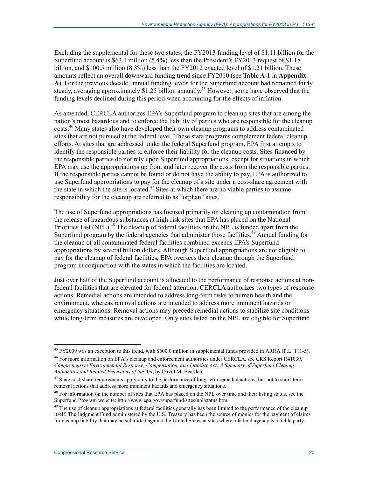Excluding the supplemental for these two states, the FY2013 funding level of \$1.11 billion for the Superfund account is \$63.1 million (5.4%) less than the President's FY2013 request of \$1.18 billion, and \$100.5 million (8.3%) less than the FY2012 enacted level of \$1.21 billion. These amounts reflect an overall downward funding trend since FY2010 (see **Table A-1** in **Appendix A**). For the previous decade, annual funding levels for the Superfund account had remained fairly steady, averaging approximately \$1.25 billion annually.<sup>45</sup> However, some have observed that the funding levels declined during this period when accounting for the effects of inflation.

As amended, CERCLA authorizes EPA's Superfund program to clean up sites that are among the nation's most hazardous and to enforce the liability of parties who are responsible for the cleanup costs.46 Many states also have developed their own cleanup programs to address contaminated sites that are not pursued at the federal level. These state programs complement federal cleanup efforts. At sites that are addressed under the federal Superfund program, EPA first attempts to identify the responsible parties to enforce their liability for the cleanup costs. Sites financed by the responsible parties do not rely upon Superfund appropriations, except for situations in which EPA may use the appropriations up front and later recover the costs from the responsible parties. If the responsible parties cannot be found or do not have the ability to pay, EPA is authorized to use Superfund appropriations to pay for the cleanup of a site under a cost-share agreement with the state in which the site is located.<sup>47</sup> Sites at which there are no viable parties to assume responsibility for the cleanup are referred to as "orphan" sites.

The use of Superfund appropriations has focused primarily on cleaning up contamination from the release of hazardous substances at high-risk sites that EPA has placed on the National Priorities List (NPL).<sup>48</sup> The cleanup of federal facilities on the NPL is funded apart from the Superfund program by the federal agencies that administer those facilities.<sup>49</sup> Annual funding for the cleanup of all contaminated federal facilities combined exceeds EPA's Superfund appropriations by several billion dollars. Although Superfund appropriations are not eligible to pay for the cleanup of federal facilities, EPA oversees their cleanup through the Superfund program in conjunction with the states in which the facilities are located.

Just over half of the Superfund account is allocated to the performance of response actions at nonfederal facilities that are elevated for federal attention. CERCLA authorizes two types of response actions. Remedial actions are intended to address long-term risks to human health and the environment, whereas removal actions are intended to address more imminent hazards or emergency situations. Removal actions may precede remedial actions to stabilize site conditions while long-term measures are developed. Only sites listed on the NPL are eligible for Superfund

<sup>&</sup>lt;sup>45</sup> FY2009 was an exception to this trend, with \$600.0 million in supplemental funds provided in ARRA (P.L. 111-5).

<sup>46</sup> For more information on EPA's cleanup and enforcement authorities under CERCLA, see CRS Report R41039, *Comprehensive Environmental Response, Compensation, and Liability Act: A Summary of Superfund Cleanup Authorities and Related Provisions of the Act*, by David M. Bearden.

 $47$  State cost-share requirements apply only to the performance of long-term remedial actions, but not to short-term removal actions that address more imminent hazards and emergency situations.

<sup>&</sup>lt;sup>48</sup> For information on the number of sites that EPA has placed on the NPL over time and their listing status, see the Superfund Program website: http://www.epa.gov/superfund/sites/npl/status.htm.

<sup>&</sup>lt;sup>49</sup> The use of cleanup appropriations at federal facilities generally has been limited to the performance of the cleanup itself. The Judgment Fund administered by the U.S. Treasury has been the source of monies for the payment of claims for cleanup liability that may be submitted against the United States at sites where a federal agency is a liable party.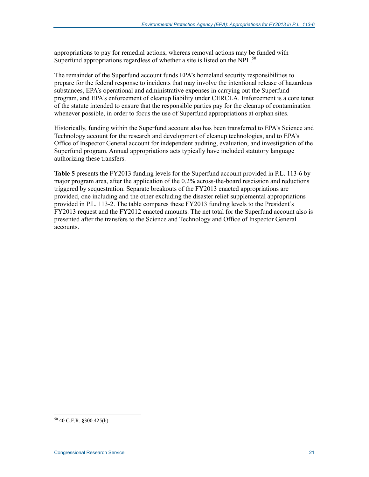appropriations to pay for remedial actions, whereas removal actions may be funded with Superfund appropriations regardless of whether a site is listed on the NPL.<sup>50</sup>

The remainder of the Superfund account funds EPA's homeland security responsibilities to prepare for the federal response to incidents that may involve the intentional release of hazardous substances, EPA's operational and administrative expenses in carrying out the Superfund program, and EPA's enforcement of cleanup liability under CERCLA. Enforcement is a core tenet of the statute intended to ensure that the responsible parties pay for the cleanup of contamination whenever possible, in order to focus the use of Superfund appropriations at orphan sites.

Historically, funding within the Superfund account also has been transferred to EPA's Science and Technology account for the research and development of cleanup technologies, and to EPA's Office of Inspector General account for independent auditing, evaluation, and investigation of the Superfund program. Annual appropriations acts typically have included statutory language authorizing these transfers.

**Table 5** presents the FY2013 funding levels for the Superfund account provided in P.L. 113-6 by major program area, after the application of the 0.2% across-the-board rescission and reductions triggered by sequestration. Separate breakouts of the FY2013 enacted appropriations are provided, one including and the other excluding the disaster relief supplemental appropriations provided in P.L. 113-2. The table compares these FY2013 funding levels to the President's FY2013 request and the FY2012 enacted amounts. The net total for the Superfund account also is presented after the transfers to the Science and Technology and Office of Inspector General accounts.

 $50$  40 C.F.R. §300.425(b).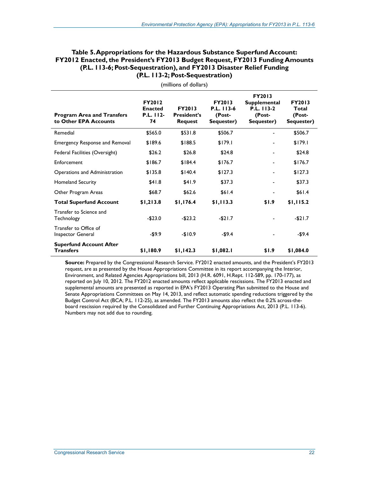#### **Table 5. Appropriations for the Hazardous Substance Superfund Account: FY2012 Enacted, the President's FY2013 Budget Request, FY2013 Funding Amounts (P.L. 113-6; Post-Sequestration), and FY2013 Disaster Relief Funding (P.L. 113-2; Post-Sequestration)**

| <b>Program Area and Transfers</b><br>to Other EPA Accounts | <b>FY2012</b><br><b>Enacted</b><br>P.L. 112-<br>74 | <b>FY2013</b><br><b>President's</b><br><b>Request</b> | <b>FY2013</b><br>$P.L.$ 113-6<br>(Post-<br>Sequester) | <b>FY2013</b><br><b>Supplemental</b><br>P.L. 113-2<br>(Post-<br>Sequester) | <b>FY2013</b><br>Total<br>(Post-<br>Sequester) |
|------------------------------------------------------------|----------------------------------------------------|-------------------------------------------------------|-------------------------------------------------------|----------------------------------------------------------------------------|------------------------------------------------|
| Remedial                                                   | \$565.0                                            | \$531.8                                               | \$506.7                                               |                                                                            | \$506.7                                        |
| <b>Emergency Response and Removal</b>                      | \$189.6                                            | \$188.5                                               | \$179.1                                               |                                                                            | \$179.1                                        |
| Federal Facilities (Oversight)                             | \$26.2                                             | \$26.8                                                | \$24.8                                                |                                                                            | \$24.8                                         |
| Enforcement                                                | \$186.7                                            | \$184.4                                               | \$176.7                                               | $\blacksquare$                                                             | \$176.7                                        |
| Operations and Administration                              | \$135.8                                            | \$140.4                                               | \$127.3                                               | $\blacksquare$                                                             | \$127.3                                        |
| <b>Homeland Security</b>                                   | \$41.8                                             | \$41.9                                                | \$37.3                                                |                                                                            | \$37.3                                         |
| Other Program Areas                                        | \$68.7                                             | \$62.6                                                | \$61.4                                                | ۰                                                                          | \$61.4                                         |
| <b>Total Superfund Account</b>                             | \$1,213.8                                          | \$1,176.4                                             | \$1,113.3                                             | \$1.9                                                                      | \$1,115.2                                      |
| Transfer to Science and<br>Technology                      | $-$23.0$                                           | $-$23.2$                                              | $-521.7$                                              |                                                                            | $-$21.7$                                       |
| Transfer to Office of<br>Inspector General                 | $-59.9$                                            | $-$10.9$                                              | $-$9.4$                                               |                                                                            | $-$9.4$                                        |
| <b>Superfund Account After</b><br><b>Transfers</b>         | \$1,180.9                                          | \$1,142.3                                             | \$1,082.1                                             | \$1.9                                                                      | \$1,084.0                                      |

(millions of dollars)

**Source:** Prepared by the Congressional Research Service. FY2012 enacted amounts, and the President's FY2013 request, are as presented by the House Appropriations Committee in its report accompanying the Interior, Environment, and Related Agencies Appropriations bill, 2013 (H.R. 6091, H.Rept. 112-589, pp. 170-177), as reported on July 10, 2012. The FY2012 enacted amounts reflect applicable rescissions. The FY2013 enacted and supplemental amounts are presented as reported in EPA's FY2013 Operating Plan submitted to the House and Senate Appropriations Committees on May 14, 2013, and reflect automatic spending reductions triggered by the Budget Control Act (BCA; P.L. 112-25), as amended. The FY2013 amounts also reflect the 0.2% across-theboard rescission required by the Consolidated and Further Continuing Appropriations Act, 2013 (P.L. 113-6). Numbers may not add due to rounding.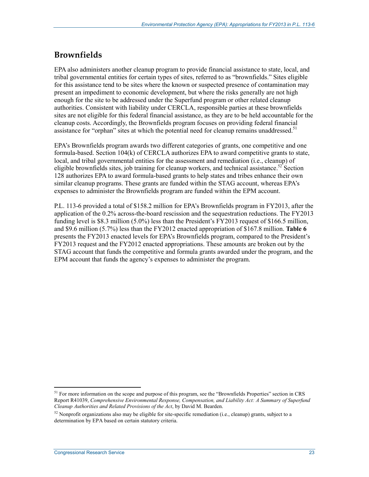### **Brownfields**

EPA also administers another cleanup program to provide financial assistance to state, local, and tribal governmental entities for certain types of sites, referred to as "brownfields." Sites eligible for this assistance tend to be sites where the known or suspected presence of contamination may present an impediment to economic development, but where the risks generally are not high enough for the site to be addressed under the Superfund program or other related cleanup authorities. Consistent with liability under CERCLA, responsible parties at these brownfields sites are not eligible for this federal financial assistance, as they are to be held accountable for the cleanup costs. Accordingly, the Brownfields program focuses on providing federal financial assistance for "orphan" sites at which the potential need for cleanup remains unaddressed.<sup>51</sup>

EPA's Brownfields program awards two different categories of grants, one competitive and one formula-based. Section 104(k) of CERCLA authorizes EPA to award competitive grants to state, local, and tribal governmental entities for the assessment and remediation (i.e., cleanup) of eligible brownfields sites, job training for cleanup workers, and technical assistance.<sup>52</sup> Section 128 authorizes EPA to award formula-based grants to help states and tribes enhance their own similar cleanup programs. These grants are funded within the STAG account, whereas EPA's expenses to administer the Brownfields program are funded within the EPM account.

P.L. 113-6 provided a total of \$158.2 million for EPA's Brownfields program in FY2013, after the application of the 0.2% across-the-board rescission and the sequestration reductions. The FY2013 funding level is \$8.3 million (5.0%) less than the President's FY2013 request of \$166.5 million, and \$9.6 million (5.7%) less than the FY2012 enacted appropriation of \$167.8 million. **Table 6** presents the FY2013 enacted levels for EPA's Brownfields program, compared to the President's FY2013 request and the FY2012 enacted appropriations. These amounts are broken out by the STAG account that funds the competitive and formula grants awarded under the program, and the EPM account that funds the agency's expenses to administer the program.

<sup>&</sup>lt;sup>51</sup> For more information on the scope and purpose of this program, see the "Brownfields Properties" section in CRS Report R41039, *Comprehensive Environmental Response, Compensation, and Liability Act: A Summary of Superfund Cleanup Authorities and Related Provisions of the Act*, by David M. Bearden.

 $52$  Nonprofit organizations also may be eligible for site-specific remediation (i.e., cleanup) grants, subject to a determination by EPA based on certain statutory criteria.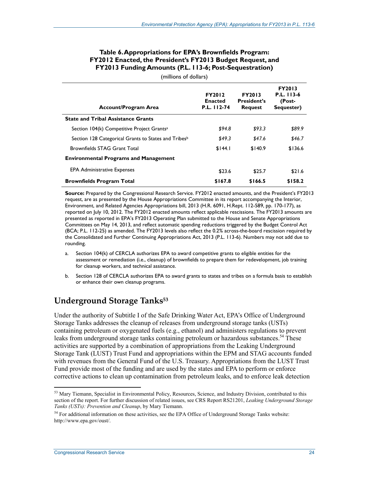#### **Table 6. Appropriations for EPA's Brownfields Program: FY2012 Enacted, the President's FY2013 Budget Request, and FY2013 Funding Amounts (P.L. 113-6; Post-Sequestration)**

(millions of dollars)

| <b>Account/Program Area</b>                                      | <b>FY2012</b><br><b>Enacted</b><br>P.L. 112-74 | <b>FY2013</b><br><b>President's</b><br><b>Request</b> | <b>FY2013</b><br>P.L. 113-6<br>(Post-<br>Sequester) |
|------------------------------------------------------------------|------------------------------------------------|-------------------------------------------------------|-----------------------------------------------------|
| <b>State and Tribal Assistance Grants</b>                        |                                                |                                                       |                                                     |
| Section 104(k) Competitive Project Grants <sup>a</sup>           | \$94.8                                         | \$93.3                                                | \$89.9                                              |
| Section 128 Categorical Grants to States and Tribes <sup>b</sup> | \$49.3                                         | \$47.6                                                | \$46.7                                              |
| Brownfields STAG Grant Total                                     | \$144.1                                        | \$140.9                                               | \$136.6                                             |
| <b>Environmental Programs and Management</b>                     |                                                |                                                       |                                                     |
| <b>EPA Administrative Expenses</b>                               | \$23.6                                         | \$25.7                                                | \$21.6                                              |
| <b>Brownfields Program Total</b>                                 | \$167.8                                        | \$166.5                                               | \$158.2                                             |

**Source:** Prepared by the Congressional Research Service. FY2012 enacted amounts, and the President's FY2013 request, are as presented by the House Appropriations Committee in its report accompanying the Interior, Environment, and Related Agencies Appropriations bill, 2013 (H.R. 6091, H.Rept. 112-589, pp. 170-177), as reported on July 10, 2012. The FY2012 enacted amounts reflect applicable rescissions. The FY2013 amounts are presented as reported in EPA's FY2013 Operating Plan submitted to the House and Senate Appropriations Committees on May 14, 2013, and reflect automatic spending reductions triggered by the Budget Control Act (BCA; P.L. 112-25) as amended. The FY2013 levels also reflect the 0.2% across-the-board rescission required by the Consolidated and Further Continuing Appropriations Act, 2013 (P.L. 113-6). Numbers may not add due to rounding.

- a. Section 104(k) of CERCLA authorizes EPA to award competitive grants to eligible entities for the assessment or remediation (i.e., cleanup) of brownfields to prepare them for redevelopment, job training for cleanup workers, and technical assistance.
- b. Section 128 of CERCLA authorizes EPA to award grants to states and tribes on a formula basis to establish or enhance their own cleanup programs.

### **Underground Storage Tanks53**

Under the authority of Subtitle I of the Safe Drinking Water Act, EPA's Office of Underground Storage Tanks addresses the cleanup of releases from underground storage tanks (USTs) containing petroleum or oxygenated fuels (e.g., ethanol) and administers regulations to prevent leaks from underground storage tanks containing petroleum or hazardous substances.<sup>54</sup> These activities are supported by a combination of appropriations from the Leaking Underground Storage Tank (LUST) Trust Fund and appropriations within the EPM and STAG accounts funded with revenues from the General Fund of the U.S. Treasury. Appropriations from the LUST Trust Fund provide most of the funding and are used by the states and EPA to perform or enforce corrective actions to clean up contamination from petroleum leaks, and to enforce leak detection

<sup>1</sup> <sup>53</sup> Mary Tiemann, Specialist in Environmental Policy, Resources, Science, and Industry Division, contributed to this section of the report. For further discussion of related issues, see CRS Report RS21201, *Leaking Underground Storage Tanks (USTs): Prevention and Cleanup*, by Mary Tiemann.

<sup>&</sup>lt;sup>54</sup> For additional information on these activities, see the EPA Office of Underground Storage Tanks website: http://www.epa.gov/oust/.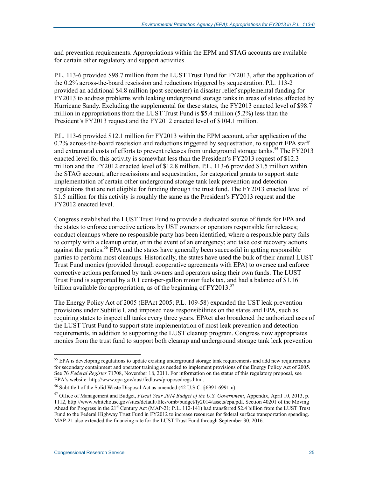and prevention requirements. Appropriations within the EPM and STAG accounts are available for certain other regulatory and support activities.

P.L. 113-6 provided \$98.7 million from the LUST Trust Fund for FY2013, after the application of the 0.2% across-the-board rescission and reductions triggered by sequestration. P.L. 113-2 provided an additional \$4.8 million (post-sequester) in disaster relief supplemental funding for FY2013 to address problems with leaking underground storage tanks in areas of states affected by Hurricane Sandy. Excluding the supplemental for these states, the FY2013 enacted level of \$98.7 million in appropriations from the LUST Trust Fund is \$5.4 million (5.2%) less than the President's FY2013 request and the FY2012 enacted level of \$104.1 million.

P.L. 113-6 provided \$12.1 million for FY2013 within the EPM account, after application of the 0.2% across-the-board rescission and reductions triggered by sequestration, to support EPA staff and extramural costs of efforts to prevent releases from underground storage tanks.<sup>55</sup> The FY2013 enacted level for this activity is somewhat less than the President's FY2013 request of \$12.3 million and the FY2012 enacted level of \$12.8 million. P.L. 113-6 provided \$1.5 million within the STAG account, after rescissions and sequestration, for categorical grants to support state implementation of certain other underground storage tank leak prevention and detection regulations that are not eligible for funding through the trust fund. The FY2013 enacted level of \$1.5 million for this activity is roughly the same as the President's FY2013 request and the FY2012 enacted level.

Congress established the LUST Trust Fund to provide a dedicated source of funds for EPA and the states to enforce corrective actions by UST owners or operators responsible for releases; conduct cleanups where no responsible party has been identified, where a responsible party fails to comply with a cleanup order, or in the event of an emergency; and take cost recovery actions against the parties.<sup>56</sup> EPA and the states have generally been successful in getting responsible parties to perform most cleanups. Historically, the states have used the bulk of their annual LUST Trust Fund monies (provided through cooperative agreements with EPA) to oversee and enforce corrective actions performed by tank owners and operators using their own funds. The LUST Trust Fund is supported by a 0.1 cent-per-gallon motor fuels tax, and had a balance of \$1.16 billion available for appropriation, as of the beginning of  $FY2013$ <sup>57</sup>

The Energy Policy Act of 2005 (EPAct 2005; P.L. 109-58) expanded the UST leak prevention provisions under Subtitle I, and imposed new responsibilities on the states and EPA, such as requiring states to inspect all tanks every three years. EPAct also broadened the authorized uses of the LUST Trust Fund to support state implementation of most leak prevention and detection requirements, in addition to supporting the LUST cleanup program. Congress now appropriates monies from the trust fund to support both cleanup and underground storage tank leak prevention

<sup>&</sup>lt;sup>55</sup> EPA is developing regulations to update existing underground storage tank requirements and add new requirements for secondary containment and operator training as needed to implement provisions of the Energy Policy Act of 2005. See 76 *Federal Register* 71708, November 18, 2011. For information on the status of this regulatory proposal, see EPA's website: http://www.epa.gov/oust/fedlaws/proposedregs.html.

<sup>56</sup> Subtitle I of the Solid Waste Disposal Act as amended (42 U.S.C. §6991-6991m).

<sup>57</sup> Office of Management and Budget, *Fiscal Year 2014 Budget of the U.S. Government*, Appendix, April 10, 2013, p. 1112, http://www.whitehouse.gov/sites/default/files/omb/budget/fy2014/assets/epa.pdf. Section 40201 of the Moving Ahead for Progress in the 21<sup>st</sup> Century Act (MAP-21; P.L. 112-141) had transferred \$2.4 billion from the LUST Trust Fund to the Federal Highway Trust Fund in FY2012 to increase resources for federal surface transportation spending. MAP-21 also extended the financing rate for the LUST Trust Fund through September 30, 2016.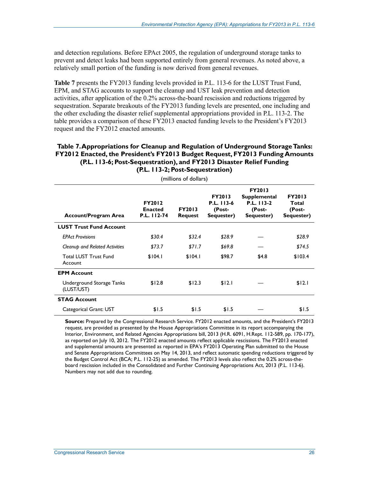and detection regulations. Before EPAct 2005, the regulation of underground storage tanks to prevent and detect leaks had been supported entirely from general revenues. As noted above, a relatively small portion of the funding is now derived from general revenues.

**Table 7** presents the FY2013 funding levels provided in P.L. 113-6 for the LUST Trust Fund, EPM, and STAG accounts to support the cleanup and UST leak prevention and detection activities, after application of the 0.2% across-the-board rescission and reductions triggered by sequestration. Separate breakouts of the FY2013 funding levels are presented, one including and the other excluding the disaster relief supplemental appropriations provided in P.L. 113-2. The table provides a comparison of these FY2013 enacted funding levels to the President's FY2013 request and the FY2012 enacted amounts.

#### **Table 7. Appropriations for Cleanup and Regulation of Underground Storage Tanks: FY2012 Enacted, the President's FY2013 Budget Request, FY2013 Funding Amounts (P.L. 113-6; Post-Sequestration), and FY2013 Disaster Relief Funding (P.L. 113-2; Post-Sequestration)**

| (millions of dollars)                   |                                                |                                 |                                                     |                                                                            |                                                |  |  |  |  |
|-----------------------------------------|------------------------------------------------|---------------------------------|-----------------------------------------------------|----------------------------------------------------------------------------|------------------------------------------------|--|--|--|--|
| <b>Account/Program Area</b>             | <b>FY2012</b><br><b>Enacted</b><br>P.L. 112-74 | <b>FY2013</b><br><b>Request</b> | <b>FY2013</b><br>P.L. 113-6<br>(Post-<br>Sequester) | <b>FY2013</b><br><b>Supplemental</b><br>P.L. 113-2<br>(Post-<br>Sequester) | <b>FY2013</b><br>Total<br>(Post-<br>Sequester) |  |  |  |  |
| <b>LUST Trust Fund Account</b>          |                                                |                                 |                                                     |                                                                            |                                                |  |  |  |  |
| <b>EPAct Provisions</b>                 | \$30.4\$                                       | \$32.4                          | \$28.9                                              |                                                                            | \$28.9                                         |  |  |  |  |
| Cleanup and Related Activities          | \$73.7                                         | \$71.7                          | \$69.8                                              |                                                                            | \$74.5                                         |  |  |  |  |
| <b>Total LUST Trust Fund</b><br>Account | \$104.1                                        | \$104.1                         | \$98.7                                              | \$4.8                                                                      | \$103.4                                        |  |  |  |  |
| <b>EPM Account</b>                      |                                                |                                 |                                                     |                                                                            |                                                |  |  |  |  |
| Underground Storage Tanks<br>(LUST/UST) | \$12.8                                         | \$12.3                          | \$12.1                                              |                                                                            | \$12.1                                         |  |  |  |  |
| <b>STAG Account</b>                     |                                                |                                 |                                                     |                                                                            |                                                |  |  |  |  |
| Categorical Grant: UST                  | \$1.5                                          | \$1.5                           | \$1.5                                               |                                                                            | \$1.5                                          |  |  |  |  |

**Source:** Prepared by the Congressional Research Service. FY2012 enacted amounts, and the President's FY2013 request, are provided as presented by the House Appropriations Committee in its report accompanying the Interior, Environment, and Related Agencies Appropriations bill, 2013 (H.R. 6091, H.Rept. 112-589, pp. 170-177), as reported on July 10, 2012. The FY2012 enacted amounts reflect applicable rescissions. The FY2013 enacted and supplemental amounts are presented as reported in EPA's FY2013 Operating Plan submitted to the House and Senate Appropriations Committees on May 14, 2013, and reflect automatic spending reductions triggered by the Budget Control Act (BCA; P.L. 112-25) as amended. The FY2013 levels also reflect the 0.2% across-theboard rescission included in the Consolidated and Further Continuing Appropriations Act, 2013 (P.L. 113-6). Numbers may not add due to rounding.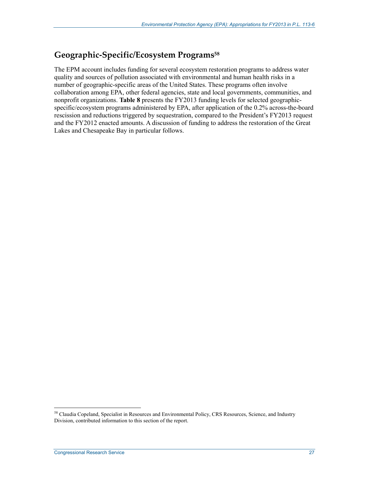#### **Geographic-Specific/Ecosystem Programs58**

The EPM account includes funding for several ecosystem restoration programs to address water quality and sources of pollution associated with environmental and human health risks in a number of geographic-specific areas of the United States. These programs often involve collaboration among EPA, other federal agencies, state and local governments, communities, and nonprofit organizations. **Table 8** presents the FY2013 funding levels for selected geographicspecific/ecosystem programs administered by EPA, after application of the 0.2% across-the-board rescission and reductions triggered by sequestration, compared to the President's FY2013 request and the FY2012 enacted amounts. A discussion of funding to address the restoration of the Great Lakes and Chesapeake Bay in particular follows.

<sup>&</sup>lt;sup>58</sup> Claudia Copeland, Specialist in Resources and Environmental Policy, CRS Resources, Science, and Industry Division, contributed information to this section of the report.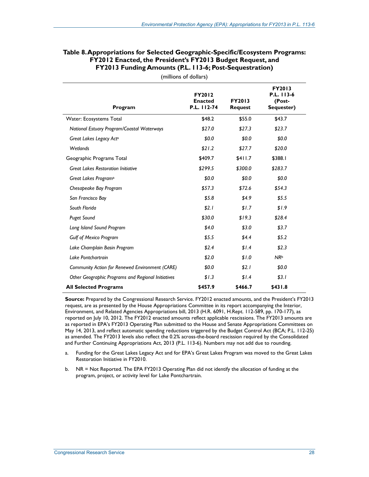| Table 8. Appropriations for Selected Geographic-Specific/Ecosystem Programs: |
|------------------------------------------------------------------------------|
| FY2012 Enacted, the President's FY2013 Budget Request, and                   |
| <b>FY2013 Funding Amounts (P.L. 113-6; Post-Sequestration)</b>               |

| Program                                            | FY2012<br><b>Enacted</b><br>P.L. 112-74 | <b>FY2013</b><br><b>Request</b> | <b>FY2013</b><br>P.L. 113-6<br>(Post-<br>Sequester) |
|----------------------------------------------------|-----------------------------------------|---------------------------------|-----------------------------------------------------|
| Water: Ecosystems Total                            | \$48.2                                  | \$55.0                          | \$43.7                                              |
| National Estuary Program/Coastal Waterways         | \$27.0                                  | \$27.3                          | \$23.7                                              |
| Great Lakes Legacy Acta                            | \$0.0                                   | \$0.0                           | \$0.0                                               |
| <b>Wetlands</b>                                    | \$21.2                                  | \$27.7                          | \$20.0                                              |
| Geographic Programs Total                          | \$409.7                                 | \$411.7                         | \$388.I                                             |
| <b>Great Lakes Restoration Initiative</b>          | \$299.5                                 | \$300.0                         | \$283.7                                             |
| Great Lakes Program <sup>a</sup>                   | \$0.0                                   | \$0.0                           | \$0.0                                               |
| Chesapeake Bay Program                             | \$57.3                                  | \$72.6                          | \$54.3                                              |
| San Francisco Bay                                  | \$5.8\$                                 | \$4.9                           | \$5.5                                               |
| South Florida                                      | \$2.1                                   | \$1.7                           | \$1.9                                               |
| <b>Puget Sound</b>                                 | \$30.0                                  | \$19.3                          | \$28.4                                              |
| Long Island Sound Program                          | \$4.0                                   | \$3.0                           | \$3.7                                               |
| <b>Gulf of Mexico Program</b>                      | \$5.5                                   | \$4.4\$                         | \$5.2                                               |
| Lake Champlain Basin Program                       | \$2.4                                   | \$1.4                           | \$2.3                                               |
| Lake Pontchartrain                                 | \$2.0                                   | \$1.0                           | NR <sup>b</sup>                                     |
| Community Action for Renewed Environment (CARE)    | \$0.0                                   | \$2.1                           | \$0.0                                               |
| Other Geographic Programs and Regional Initiatives | \$1.3                                   | \$1.4                           | \$3.1                                               |
| <b>All Selected Programs</b>                       | \$457.9                                 | \$466.7                         | \$431.8                                             |

(millions of dollars)

**Source:** Prepared by the Congressional Research Service. FY2012 enacted amounts, and the President's FY2013 request, are as presented by the House Appropriations Committee in its report accompanying the Interior, Environment, and Related Agencies Appropriations bill, 2013 (H.R. 6091, H.Rept. 112-589, pp. 170-177), as reported on July 10, 2012. The FY2012 enacted amounts reflect applicable rescissions. The FY2013 amounts are as reported in EPA's FY2013 Operating Plan submitted to the House and Senate Appropriations Committees on May 14, 2013, and reflect automatic spending reductions triggered by the Budget Control Act (BCA; P.L. 112-25) as amended. The FY2013 levels also reflect the 0.2% across-the-board rescission required by the Consolidated and Further Continuing Appropriations Act, 2013 (P.L. 113-6). Numbers may not add due to rounding.

- a. Funding for the Great Lakes Legacy Act and for EPA's Great Lakes Program was moved to the Great Lakes Restoration Initiative in FY2010.
- b. NR = Not Reported. The EPA FY2013 Operating Plan did not identify the allocation of funding at the program, project, or activity level for Lake Pontchartrain.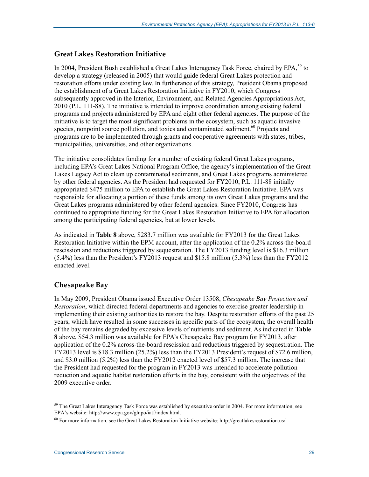#### **Great Lakes Restoration Initiative**

In 2004, President Bush established a Great Lakes Interagency Task Force, chaired by EPA.<sup>59</sup> to develop a strategy (released in 2005) that would guide federal Great Lakes protection and restoration efforts under existing law. In furtherance of this strategy, President Obama proposed the establishment of a Great Lakes Restoration Initiative in FY2010, which Congress subsequently approved in the Interior, Environment, and Related Agencies Appropriations Act, 2010 (P.L. 111-88). The initiative is intended to improve coordination among existing federal programs and projects administered by EPA and eight other federal agencies. The purpose of the initiative is to target the most significant problems in the ecosystem, such as aquatic invasive species, nonpoint source pollution, and toxics and contaminated sediment.<sup>60</sup> Projects and programs are to be implemented through grants and cooperative agreements with states, tribes, municipalities, universities, and other organizations.

The initiative consolidates funding for a number of existing federal Great Lakes programs, including EPA's Great Lakes National Program Office, the agency's implementation of the Great Lakes Legacy Act to clean up contaminated sediments, and Great Lakes programs administered by other federal agencies. As the President had requested for FY2010, P.L. 111-88 initially appropriated \$475 million to EPA to establish the Great Lakes Restoration Initiative. EPA was responsible for allocating a portion of these funds among its own Great Lakes programs and the Great Lakes programs administered by other federal agencies. Since FY2010, Congress has continued to appropriate funding for the Great Lakes Restoration Initiative to EPA for allocation among the participating federal agencies, but at lower levels.

As indicated in **Table 8** above, \$283.7 million was available for FY2013 for the Great Lakes Restoration Initiative within the EPM account, after the application of the 0.2% across-the-board rescission and reductions triggered by sequestration. The FY2013 funding level is \$16.3 million (5.4%) less than the President's FY2013 request and \$15.8 million (5.3%) less than the FY2012 enacted level.

#### **Chesapeake Bay**

In May 2009, President Obama issued Executive Order 13508, *Chesapeake Bay Protection and Restoration*, which directed federal departments and agencies to exercise greater leadership in implementing their existing authorities to restore the bay. Despite restoration efforts of the past 25 years, which have resulted in some successes in specific parts of the ecosystem, the overall health of the bay remains degraded by excessive levels of nutrients and sediment. As indicated in **Table 8** above, \$54.3 million was available for EPA's Chesapeake Bay program for FY2013, after application of the 0.2% across-the-board rescission and reductions triggered by sequestration. The FY2013 level is \$18.3 million (25.2%) less than the FY2013 President's request of \$72.6 million, and \$3.0 million (5.2%) less than the FY2012 enacted level of \$57.3 million. The increase that the President had requested for the program in FY2013 was intended to accelerate pollution reduction and aquatic habitat restoration efforts in the bay, consistent with the objectives of the 2009 executive order.

<sup>&</sup>lt;sup>59</sup> The Great Lakes Interagency Task Force was established by executive order in 2004. For more information, see EPA's website: http://www.epa.gov/glnpo/iatf/index.html.

<sup>60</sup> For more information, see the Great Lakes Restoration Initiative website: http://greatlakesrestoration.us/.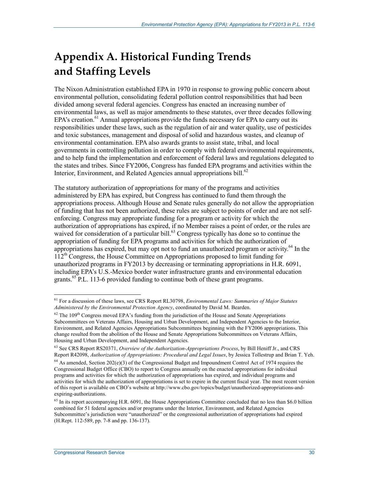# **Appendix A. Historical Funding Trends and Staffing Levels**

The Nixon Administration established EPA in 1970 in response to growing public concern about environmental pollution, consolidating federal pollution control responsibilities that had been divided among several federal agencies. Congress has enacted an increasing number of environmental laws, as well as major amendments to these statutes, over three decades following EPA's creation.<sup>61</sup> Annual appropriations provide the funds necessary for EPA to carry out its responsibilities under these laws, such as the regulation of air and water quality, use of pesticides and toxic substances, management and disposal of solid and hazardous wastes, and cleanup of environmental contamination. EPA also awards grants to assist state, tribal, and local governments in controlling pollution in order to comply with federal environmental requirements, and to help fund the implementation and enforcement of federal laws and regulations delegated to the states and tribes. Since FY2006, Congress has funded EPA programs and activities within the Interior, Environment, and Related Agencies annual appropriations bill.<sup>62</sup>

The statutory authorization of appropriations for many of the programs and activities administered by EPA has expired, but Congress has continued to fund them through the appropriations process. Although House and Senate rules generally do not allow the appropriation of funding that has not been authorized, these rules are subject to points of order and are not selfenforcing. Congress may appropriate funding for a program or activity for which the authorization of appropriations has expired, if no Member raises a point of order, or the rules are waived for consideration of a particular bill.<sup>63</sup> Congress typically has done so to continue the appropriation of funding for EPA programs and activities for which the authorization of appropriations has expired, but may opt not to fund an unauthorized program or activity.<sup>64</sup> In the  $112<sup>th</sup>$  Congress, the House Committee on Appropriations proposed to limit funding for unauthorized programs in FY2013 by decreasing or terminating appropriations in H.R. 6091, including EPA's U.S.-Mexico border water infrastructure grants and environmental education grants.<sup>65</sup> P.L. 113-6 provided funding to continue both of these grant programs.

<sup>&</sup>lt;u>.</u> 61 For a discussion of these laws, see CRS Report RL30798, *Environmental Laws: Summaries of Major Statutes Administered by the Environmental Protection Agency*, coordinated by David M. Bearden.

 $62$  The 109<sup>th</sup> Congress moved EPA's funding from the jurisdiction of the House and Senate Appropriations Subcommittees on Veterans Affairs, Housing and Urban Development, and Independent Agencies to the Interior, Environment, and Related Agencies Appropriations Subcommittees beginning with the FY2006 appropriations. This change resulted from the abolition of the House and Senate Appropriations Subcommittees on Veterans Affairs, Housing and Urban Development, and Independent Agencies.

<sup>63</sup> See CRS Report RS20371, *Overview of the Authorization-Appropriations Process*, by Bill Heniff Jr., and CRS Report R42098, *Authorization of Appropriations: Procedural and Legal Issues*, by Jessica Tollestrup and Brian T. Yeh.

<sup>&</sup>lt;sup>64</sup> As amended, Section 202(e)(3) of the Congressional Budget and Impoundment Control Act of 1974 requires the Congressional Budget Office (CBO) to report to Congress annually on the enacted appropriations for individual programs and activities for which the authorization of appropriations has expired, and individual programs and activities for which the authorization of appropriations is set to expire in the current fiscal year. The most recent version of this report is available on CBO's website at http://www.cbo.gov/topics/budget/unauthorized-appropriations-andexpiring-authorizations.

<sup>&</sup>lt;sup>65</sup> In its report accompanying H.R. 6091, the House Appropriations Committee concluded that no less than \$6.0 billion combined for 51 federal agencies and/or programs under the Interior, Environment, and Related Agencies Subcommittee's jurisdiction were "unauthorized" or the congressional authorization of appropriations had expired (H.Rept. 112-589, pp. 7-8 and pp. 136-137).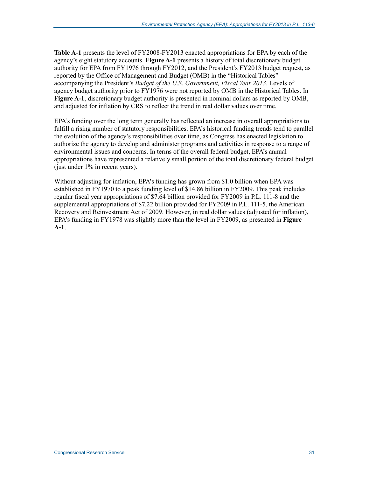**Table A-1** presents the level of FY2008-FY2013 enacted appropriations for EPA by each of the agency's eight statutory accounts. **Figure A-1** presents a history of total discretionary budget authority for EPA from FY1976 through FY2012, and the President's FY2013 budget request, as reported by the Office of Management and Budget (OMB) in the "Historical Tables" accompanying the President's *Budget of the U.S. Government, Fiscal Year 2013*. Levels of agency budget authority prior to FY1976 were not reported by OMB in the Historical Tables. In **Figure A-1**, discretionary budget authority is presented in nominal dollars as reported by OMB, and adjusted for inflation by CRS to reflect the trend in real dollar values over time.

EPA's funding over the long term generally has reflected an increase in overall appropriations to fulfill a rising number of statutory responsibilities. EPA's historical funding trends tend to parallel the evolution of the agency's responsibilities over time, as Congress has enacted legislation to authorize the agency to develop and administer programs and activities in response to a range of environmental issues and concerns. In terms of the overall federal budget, EPA's annual appropriations have represented a relatively small portion of the total discretionary federal budget (just under  $1\%$  in recent years).

Without adjusting for inflation, EPA's funding has grown from \$1.0 billion when EPA was established in FY1970 to a peak funding level of \$14.86 billion in FY2009. This peak includes regular fiscal year appropriations of \$7.64 billion provided for FY2009 in P.L. 111-8 and the supplemental appropriations of \$7.22 billion provided for FY2009 in P.L. 111-5, the American Recovery and Reinvestment Act of 2009. However, in real dollar values (adjusted for inflation), EPA's funding in FY1978 was slightly more than the level in FY2009, as presented in **Figure A-1**.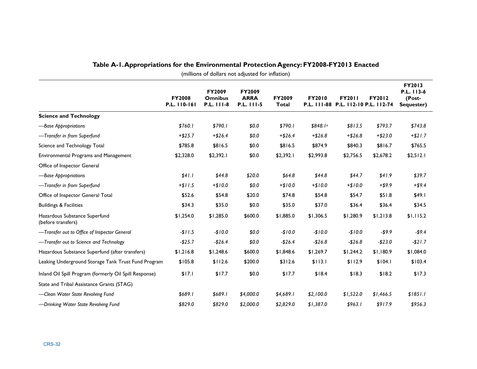|                                                        |                               |                                               |                                            |                               |               |                                                      |               |                                                     | (millions of dollars not adjusted for inflation) |  |  |  |  |  |  |  |  |
|--------------------------------------------------------|-------------------------------|-----------------------------------------------|--------------------------------------------|-------------------------------|---------------|------------------------------------------------------|---------------|-----------------------------------------------------|--------------------------------------------------|--|--|--|--|--|--|--|--|
|                                                        | <b>FY2008</b><br>P.L. 110-161 | <b>FY2009</b><br><b>Omnibus</b><br>P.L. 111-8 | <b>FY2009</b><br><b>ARRA</b><br>P.L. 111-5 | <b>FY2009</b><br><b>Total</b> | <b>FY2010</b> | <b>FY2011</b><br>P.L. 111-88 P.L. 112-10 P.L. 112-74 | <b>FY2012</b> | <b>FY2013</b><br>P.L. 113-6<br>(Post-<br>Sequester) |                                                  |  |  |  |  |  |  |  |  |
| <b>Science and Technology</b>                          |                               |                                               |                                            |                               |               |                                                      |               |                                                     |                                                  |  |  |  |  |  |  |  |  |
| -Base Appropriations                                   | \$760.1                       | \$790.1                                       | \$0.0\$                                    | \$790.1                       | \$848.1ª      | \$813.5                                              | \$793.7       | \$743.8                                             |                                                  |  |  |  |  |  |  |  |  |
| -Transfer in from Superfund                            | $+ $25.7$                     | $+ $26.4$                                     | \$0.0\$                                    | $+ $26.4$                     | $+ $26.8$     | $+ $26.8$                                            | $+ $23.0$     | $+ $21.7$                                           |                                                  |  |  |  |  |  |  |  |  |
| Science and Technology Total                           | \$785.8                       | \$816.5                                       | \$0.0                                      | \$816.5                       | \$874.9       | \$840.3                                              | \$816.7       | \$765.5                                             |                                                  |  |  |  |  |  |  |  |  |
| Environmental Programs and Management                  | \$2,328.0                     | \$2,392.1                                     | \$0.0                                      | \$2,392.1                     | \$2,993.8     | \$2,756.5                                            | \$2,678.2     | \$2,512.1                                           |                                                  |  |  |  |  |  |  |  |  |
| Office of Inspector General                            |                               |                                               |                                            |                               |               |                                                      |               |                                                     |                                                  |  |  |  |  |  |  |  |  |
| -Base Appropriations                                   | \$41.1                        | \$44.8                                        | \$20.0                                     | \$64.8                        | \$44.8        | \$44.7                                               | \$41.9        | \$39.7                                              |                                                  |  |  |  |  |  |  |  |  |
| -Transfer in from Superfund                            | $+ $11.5$                     | $+ $10.0$                                     | \$0.0                                      | $+ $10.0$                     | $+ $10.0$     | $+ $10.0$                                            | $+ $9.9$      | $+ $9.4$                                            |                                                  |  |  |  |  |  |  |  |  |
| Office of Inspector General Total                      | \$52.6                        | \$54.8                                        | \$20.0                                     | \$74.8                        | \$54.8        | \$54.7                                               | \$51.8        | \$49.1                                              |                                                  |  |  |  |  |  |  |  |  |
| <b>Buildings &amp; Facilities</b>                      | \$34.3                        | \$35.0                                        | \$0.0                                      | \$35.0                        | \$37.0        | \$36.4                                               | \$36.4        | \$34.5                                              |                                                  |  |  |  |  |  |  |  |  |
| Hazardous Substance Superfund<br>(before transfers)    | \$1,254.0                     | \$1,285.0                                     | \$600.0                                    | \$1,885.0                     | \$1,306.5     | \$1,280.9                                            | \$1,213.8     | \$1,115.2                                           |                                                  |  |  |  |  |  |  |  |  |
| -Transfer out to Office of Inspector General           | $-11.5$                       | $-$10.0$                                      | \$0.0                                      | $-$10.0$                      | $-$10.0$      | $-$10.0$                                             | $-59.9$       | -\$9.4                                              |                                                  |  |  |  |  |  |  |  |  |
| -Transfer out to Science and Technology                | $-$25.7$                      | $-526.4$                                      | \$0.0                                      | $-$26.4$                      | $-$26.8$      | $-526.8$                                             | $-$23.0$      | $-$21.7$                                            |                                                  |  |  |  |  |  |  |  |  |
| Hazardous Substance Superfund (after transfers)        | \$1,216.8                     | \$1,248.6                                     | \$600.0                                    | \$1,848.6                     | \$1,269.7     | \$1,244.2                                            | \$1,180.9     | \$1,084.0                                           |                                                  |  |  |  |  |  |  |  |  |
| Leaking Underground Storage Tank Trust Fund Program    | \$105.8                       | \$112.6                                       | \$200.0                                    | \$312.6                       | \$113.1       | \$112.9                                              | \$104.1       | \$103.4                                             |                                                  |  |  |  |  |  |  |  |  |
| Inland Oil Spill Program (formerly Oil Spill Response) | \$17.1                        | \$17.7                                        | \$0.0                                      | \$17.7                        | \$18.4        | \$18.3                                               | \$18.2        | \$17.3                                              |                                                  |  |  |  |  |  |  |  |  |
| State and Tribal Assistance Grants (STAG)              |                               |                                               |                                            |                               |               |                                                      |               |                                                     |                                                  |  |  |  |  |  |  |  |  |
| -Clean Water State Revolving Fund                      | \$689.1                       | \$689.1                                       | \$4,000.0                                  | \$4,689.1                     | \$2,100.0     | \$1,522.0                                            | \$1,466.5     | \$1851.1                                            |                                                  |  |  |  |  |  |  |  |  |
| -Drinking Water State Revolving Fund                   | \$829.0                       | \$829.0                                       | \$2,000.0                                  | \$2,829.0                     | \$1,387.0     | \$963.1                                              | \$917.9       | \$956.3                                             |                                                  |  |  |  |  |  |  |  |  |

## **Table A-1. Appropriations for the Environmental Protection Agency: FY2008-FY2013 Enacted**

CRS-32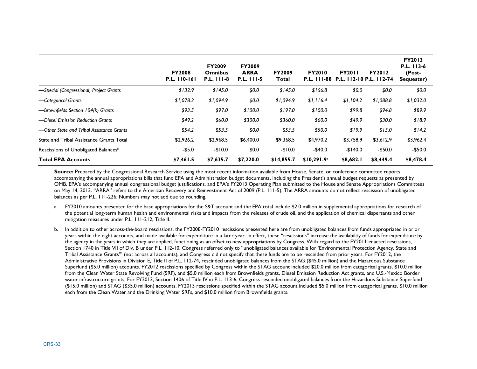|                                                  | <b>FY2008</b><br>P.L. 110-161 | <b>FY2009</b><br><b>Omnibus</b><br><b>P.L. 111-8</b> | <b>FY2009</b><br><b>ARRA</b><br>P.L. 111-5 | <b>FY2009</b><br>Total | <b>FY2010</b>           | <b>FY2011</b><br>P.L. 111-88 P.L. 112-10 P.L. 112-74 | <b>FY2012</b> | <b>FY2013</b><br>P.L. 113-6<br>(Post-<br>Sequester) |
|--------------------------------------------------|-------------------------------|------------------------------------------------------|--------------------------------------------|------------------------|-------------------------|------------------------------------------------------|---------------|-----------------------------------------------------|
| -Special (Congressional) Project Grants          | \$132.9                       | \$145.0                                              | \$0.0                                      | \$145.0                | \$156.8                 | \$0.0                                                | \$0.0         | \$0.0                                               |
| -Categorical Grants                              | \$1,078.3                     | \$1,094.9                                            | \$0.0                                      | \$1,094.9              | \$1,116.4               | \$1,104.2                                            | \$1,088.8     | \$1,032.0                                           |
| -Brownfields Section 104(k) Grants               | \$93.5                        | \$97.0                                               | \$100.0                                    | \$197.0                | \$100.0                 | \$99.8                                               | \$94.8        | \$89.9                                              |
| -Diesel Emission Reduction Grants                | \$49.2                        | \$60.0                                               | \$300.0                                    | \$360.0                | \$60.0                  | \$49.9                                               | \$30.0        | \$18.9                                              |
| -Other State and Tribal Assistance Grants        | \$54.2                        | \$53.5                                               | \$0.0                                      | \$53.5                 | \$50.0                  | \$19.9                                               | \$15.0        | \$14.2                                              |
| State and Tribal Assistance Grants Total         | \$2,926.2                     | \$2,968.5                                            | \$6,400.0                                  | \$9,368.5              | \$4,970.2               | \$3,758.9                                            | \$3,612.9     | \$3,962.4                                           |
| Rescissions of Unobligated Balances <sup>b</sup> | $-$5.0$                       | $-$10.0$                                             | \$0.0                                      | $-$10.0$               | $-$40.0$                | $-$140.0$                                            | $-$50.0$      | $-$50.0$                                            |
| <b>Total EPA Accounts</b>                        | \$7,461.5                     | \$7,635.7                                            | \$7,220.0                                  | \$14,855.7             | \$10,291.9 <sup>a</sup> | \$8,682.1                                            | \$8,449.4     | \$8,478.4                                           |

**Source:** Prepared by the Congressional Research Service using the most recent information available from House, Senate, or conference committee reports accompanying the annual appropriations bills that fund EPA and Administration budget documents, including the President's annual budget requests as presented by OMB, EPA's accompanying annual congressional budget justifications, and EPA's FY2013 Operating Plan submitted to the House and Senate Appropriations Committees on May 14, 2013. "ARRA" refers to the American Recovery and Reinvestment Act of 2009 (P.L. 111-5). The ARRA amounts do not reflect rescission of unobligated balances as per P.L. 111-226. Numbers may not add due to rounding.

- a. FY2010 amounts presented for the base appropriations for the S&T account and the EPA total include \$2.0 million in supplemental appropriations for research of the potential long-term human health and environmental risks and impacts from the releases of crude oil, and the application of chemical dispersants and other mitigation measures under P.L. 111-212, Title II.
- b. In addition to other across-the-board rescissions, the FY2008-FY2010 rescissions presented here are from unobligated balances from funds appropriated in prior years within the eight accounts, and made available for expenditure in a later year. In effect, these "rescissions" increase the availability of funds for expenditure by the agency in the years in which they are applied, functioning as an offset to new appropriations by Congress. With regard to the FY2011 enacted rescissions, Section 1740 in Title VII of Div. B under P.L. 112-10, Congress referred only to "unobligated balances available for 'Environmental Protection Agency, State and Tribal Assistance Grants'" (not across all accounts), and Congress did not specify that these funds are to be rescinded from prior years. For FY2012, the Administrative Provisions in Division E, Title II of P.L. 112-74, rescinded unobligated balances from the STAG (\$45.0 million) and the Hazardous Substance Superfund (\$5.0 million) accounts. FY2012 rescissions specified by Congress within the STAG account included \$20.0 million from categorical grants, \$10.0 million from the Clean Water State Revolving Fund (SRF), and \$5.0 million each from Brownfields grants, Diesel Emission Reduction Act grants, and U.S.-Mexico Border water infrastructure grants. For FY2013, Section 1406 of Title IV in P.L. 113-6, Congress rescinded unobligated balances from the Hazardous Substance Superfund (\$15.0 million) and STAG (\$35.0 million) accounts. FY2013 rescissions specified within the STAG account included \$5.0 million from categorical grants, \$10.0 million each from the Clean Water and the Drinking Water SRFs, and \$10.0 million from Brownfields grants.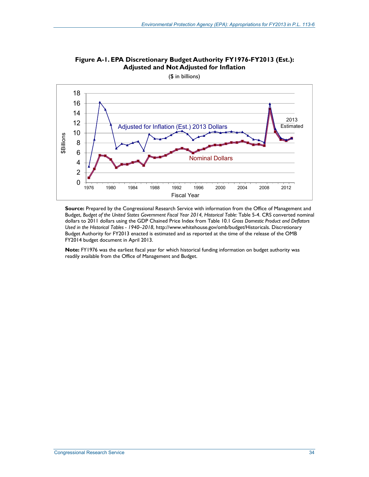

**Figure A-1. EPA Discretionary Budget Authority FY1976-FY2013 (Est.): Adjusted and Not Adjusted for Inflation** 

(\$ in billions)

**Source:** Prepared by the Congressional Research Service with information from the Office of Management and Budget, *Budget of the United States Government Fiscal Year 2014, Historical Table:* Table 5-4. CRS converted nominal dollars to 2011 dollars using the GDP Chained Price Index from Table 10.1 *Gross Domestic Product and Deflators Used in the Historical Tables - 1940–2018*, http://www.whitehouse.gov/omb/budget/Historicals. Discretionary Budget Authority for FY2013 enacted is estimated and as reported at the time of the release of the OMB FY2014 budget document in April 2013.

**Note:** FY1976 was the earliest fiscal year for which historical funding information on budget authority was readily available from the Office of Management and Budget.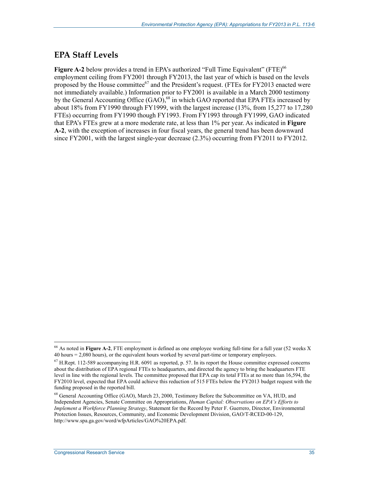#### **EPA Staff Levels**

Figure A-2 below provides a trend in EPA's authorized "Full Time Equivalent" (FTE)<sup>66</sup> employment ceiling from FY2001 through FY2013, the last year of which is based on the levels proposed by the House committee<sup>67</sup> and the President's request. (FTEs for FY2013 enacted were not immediately available.) Information prior to FY2001 is available in a March 2000 testimony by the General Accounting Office  $(GAO)$ ,  $^{68}$  in which GAO reported that EPA FTEs increased by about 18% from FY1990 through FY1999, with the largest increase (13%, from 15,277 to 17,280 FTEs) occurring from FY1990 though FY1993. From FY1993 through FY1999, GAO indicated that EPA's FTEs grew at a more moderate rate, at less than 1% per year. As indicated in **Figure A-2**, with the exception of increases in four fiscal years, the general trend has been downward since FY2001, with the largest single-year decrease (2.3%) occurring from FY2011 to FY2012.

<sup>66</sup> As noted in **Figure A-2**, FTE employment is defined as one employee working full-time for a full year (52 weeks X 40 hours = 2,080 hours), or the equivalent hours worked by several part-time or temporary employees.

 $^{67}$  H.Rept. 112-589 accompanying H.R. 6091 as reported, p. 57. In its report the House committee expressed concerns about the distribution of EPA regional FTEs to headquarters, and directed the agency to bring the headquarters FTE level in line with the regional levels. The committee proposed that EPA cap its total FTEs at no more than 16,594, the FY2010 level, expected that EPA could achieve this reduction of 515 FTEs below the FY2013 budget request with the funding proposed in the reported bill.

<sup>68</sup> General Accounting Office (GAO), March 23, 2000, Testimony Before the Subcommittee on VA, HUD, and Independent Agencies, Senate Committee on Appropriations, *Human Capital: Observations on EPA's Efforts to Implement a Workforce Planning Strategy*, Statement for the Record by Peter F. Guerrero, Director, Environmental Protection Issues, Resources, Community, and Economic Development Division, GAO/T-RCED-00-129, http://www.spa.ga.gov/word/wfpArticles/GAO%20EPA.pdf.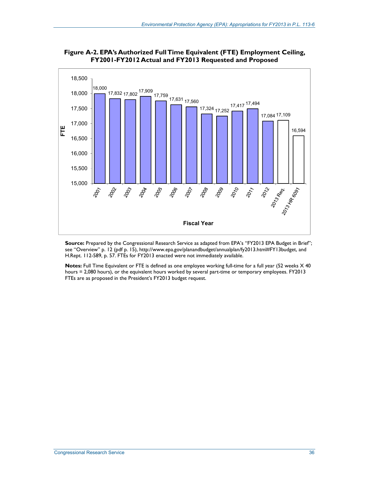

**Figure A-2. EPA's Authorized Full Time Equivalent (FTE) Employment Ceiling, FY2001-FY2012 Actual and FY2013 Requested and Proposed** 

**Source:** Prepared by the Congressional Research Service as adapted from EPA's "FY2013 EPA Budget in Brief"; see "Overview" p. 12 (pdf p. 15), http://www.epa.gov/planandbudget/annualplan/fy2013.html#FY13budget, and H.Rept. 112-589, p. 57. FTEs for FY2013 enacted were not immediately available.

**Notes:** Full Time Equivalent or FTE is defined as one employee working full-time for a full year (52 weeks X 40 hours = 2,080 hours), or the equivalent hours worked by several part-time or temporary employees. FY2013 FTEs are as proposed in the President's FY2013 budget request.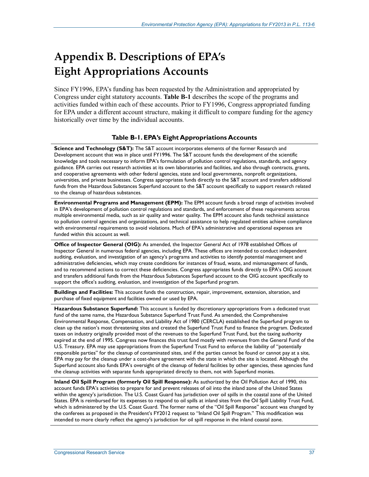# **Appendix B. Descriptions of EPA's Eight Appropriations Accounts**

Since FY1996, EPA's funding has been requested by the Administration and appropriated by Congress under eight statutory accounts. **Table B-1** describes the scope of the programs and activities funded within each of these accounts. Prior to FY1996, Congress appropriated funding for EPA under a different account structure, making it difficult to compare funding for the agency historically over time by the individual accounts.

#### **Table B-1. EPA's Eight Appropriations Accounts**

**Science and Technology (S&T):** The S&T account incorporates elements of the former Research and Development account that was in place until FY1996. The S&T account funds the development of the scientific knowledge and tools necessary to inform EPA's formulation of pollution control regulations, standards, and agency guidance. EPA carries out research activities at its own laboratories and facilities, and also through contracts, grants, and cooperative agreements with other federal agencies, state and local governments, nonprofit organizations, universities, and private businesses. Congress appropriates funds directly to the S&T account and transfers additional funds from the Hazardous Substances Superfund account to the S&T account specifically to support research related to the cleanup of hazardous substances.

**Environmental Programs and Management (EPM):** The EPM account funds a broad range of activities involved in EPA's development of pollution control regulations and standards, and enforcement of these requirements across multiple environmental media, such as air quality and water quality. The EPM account also funds technical assistance to pollution control agencies and organizations, and technical assistance to help regulated entities achieve compliance with environmental requirements to avoid violations. Much of EPA's administrative and operational expenses are funded within this account as well.

**Office of Inspector General (OIG):** As amended, the Inspector General Act of 1978 established Offices of Inspector General in numerous federal agencies, including EPA. These offices are intended to conduct independent auditing, evaluation, and investigation of an agency's programs and activities to identify potential management and administrative deficiencies, which may create conditions for instances of fraud, waste, and mismanagement of funds, and to recommend actions to correct these deficiencies. Congress appropriates funds directly to EPA's OIG account and transfers additional funds from the Hazardous Substances Superfund account to the OIG account specifically to support the office's auditing, evaluation, and investigation of the Superfund program.

**Buildings and Facilities:** This account funds the construction, repair, improvement, extension, alteration, and purchase of fixed equipment and facilities owned or used by EPA.

**Hazardous Substance Superfund:** This account is funded by discretionary appropriations from a dedicated trust fund of the same name, the Hazardous Substance Superfund Trust Fund. As amended, the Comprehensive Environmental Response, Compensation, and Liability Act of 1980 (CERCLA) established the Superfund program to clean up the nation's most threatening sites and created the Superfund Trust Fund to finance the program. Dedicated taxes on industry originally provided most of the revenues to the Superfund Trust Fund, but the taxing authority expired at the end of 1995. Congress now finances this trust fund mostly with revenues from the General Fund of the U.S. Treasury. EPA may use appropriations from the Superfund Trust Fund to enforce the liability of "potentially responsible parties" for the cleanup of contaminated sites, and if the parties cannot be found or cannot pay at a site, EPA may pay for the cleanup under a cost-share agreement with the state in which the site is located. Although the Superfund account also funds EPA's oversight of the cleanup of federal facilities by other agencies, these agencies fund the cleanup activities with separate funds appropriated directly to them, not with Superfund monies.

**Inland Oil Spill Program (formerly Oil Spill Response):** As authorized by the Oil Pollution Act of 1990, this account funds EPA's activities to prepare for and prevent releases of oil into the inland zone of the United States within the agency's jurisdiction. The U.S. Coast Guard has jurisdiction over oil spills in the coastal zone of the United States. EPA is reimbursed for its expenses to respond to oil spills at inland sites from the Oil Spill Liability Trust Fund, which is administered by the U.S. Coast Guard. The former name of the "Oil Spill Response" account was changed by the conferees as proposed in the President's FY2012 request to "Inland Oil Spill Program." This modification was intended to more clearly reflect the agency's jurisdiction for oil spill response in the inland coastal zone.